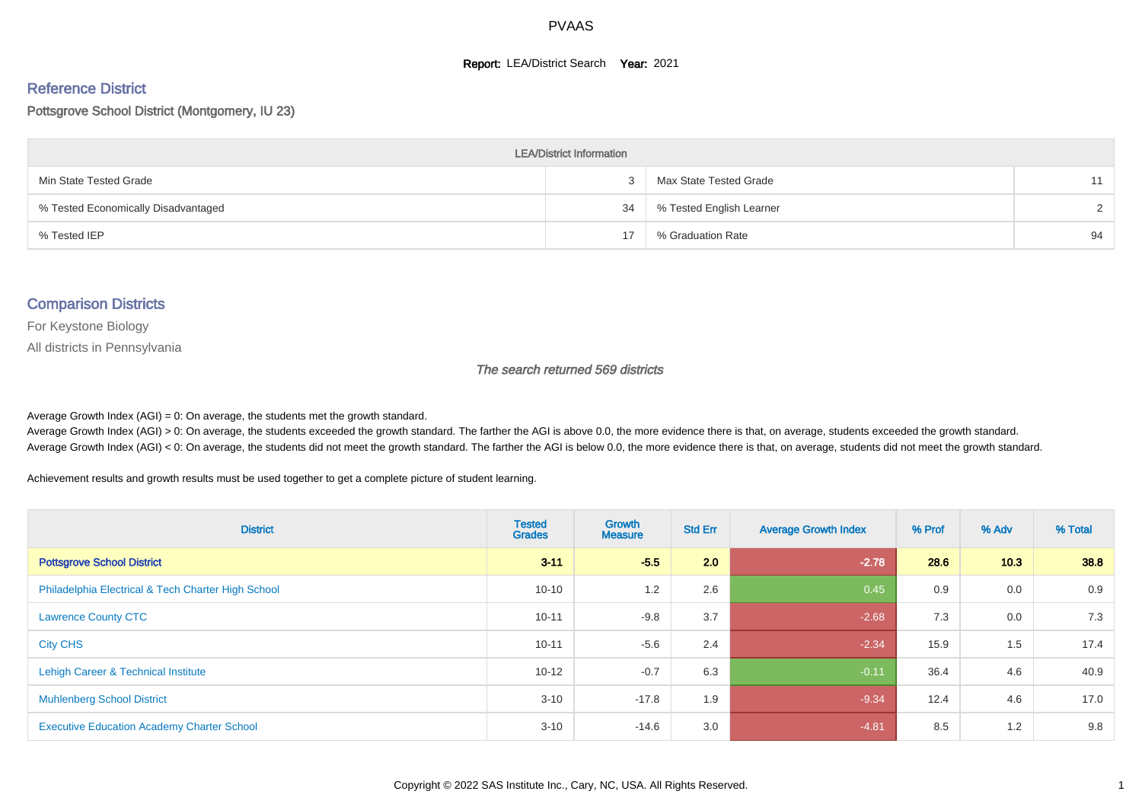#### **Report: LEA/District Search Year: 2021**

#### Reference District

#### Pottsgrove School District (Montgomery, IU 23)

| <b>LEA/District Information</b>     |    |                          |        |  |  |  |  |  |  |  |
|-------------------------------------|----|--------------------------|--------|--|--|--|--|--|--|--|
| Min State Tested Grade              |    | Max State Tested Grade   | 11     |  |  |  |  |  |  |  |
| % Tested Economically Disadvantaged | 34 | % Tested English Learner | $\sim$ |  |  |  |  |  |  |  |
| % Tested IEP                        | 17 | % Graduation Rate        | 94     |  |  |  |  |  |  |  |

#### Comparison Districts

For Keystone Biology

All districts in Pennsylvania

The search returned 569 districts

Average Growth Index  $(AGI) = 0$ : On average, the students met the growth standard.

Average Growth Index (AGI) > 0: On average, the students exceeded the growth standard. The farther the AGI is above 0.0, the more evidence there is that, on average, students exceeded the growth standard. Average Growth Index (AGI) < 0: On average, the students did not meet the growth standard. The farther the AGI is below 0.0, the more evidence there is that, on average, students did not meet the growth standard.

Achievement results and growth results must be used together to get a complete picture of student learning.

| <b>District</b>                                    | <b>Tested</b><br><b>Grades</b> | Growth<br><b>Measure</b> | <b>Std Err</b> | <b>Average Growth Index</b> | % Prof | % Adv | % Total |
|----------------------------------------------------|--------------------------------|--------------------------|----------------|-----------------------------|--------|-------|---------|
| <b>Pottsgrove School District</b>                  | $3 - 11$                       | $-5.5$                   | 2.0            | $-2.78$                     | 28.6   | 10.3  | 38.8    |
| Philadelphia Electrical & Tech Charter High School | $10 - 10$                      | 1.2                      | 2.6            | 0.45                        | 0.9    | 0.0   | 0.9     |
| <b>Lawrence County CTC</b>                         | $10 - 11$                      | $-9.8$                   | 3.7            | $-2.68$                     | 7.3    | 0.0   | 7.3     |
| <b>City CHS</b>                                    | $10 - 11$                      | $-5.6$                   | 2.4            | $-2.34$                     | 15.9   | 1.5   | 17.4    |
| Lehigh Career & Technical Institute                | $10 - 12$                      | $-0.7$                   | 6.3            | $-0.11$                     | 36.4   | 4.6   | 40.9    |
| <b>Muhlenberg School District</b>                  | $3 - 10$                       | $-17.8$                  | 1.9            | $-9.34$                     | 12.4   | 4.6   | 17.0    |
| <b>Executive Education Academy Charter School</b>  | $3 - 10$                       | $-14.6$                  | 3.0            | $-4.81$                     | 8.5    | 1.2   | 9.8     |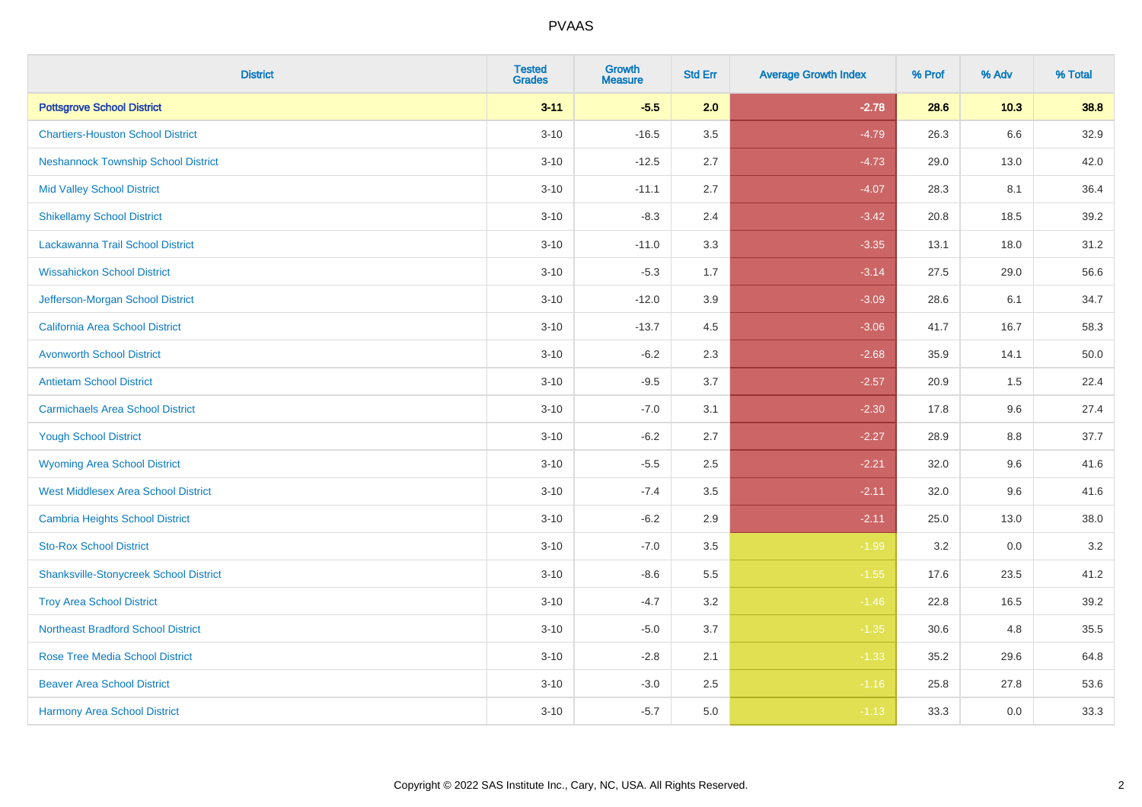| <b>District</b>                               | <b>Tested</b><br><b>Grades</b> | Growth<br><b>Measure</b> | <b>Std Err</b> | <b>Average Growth Index</b> | % Prof | % Adv | % Total |
|-----------------------------------------------|--------------------------------|--------------------------|----------------|-----------------------------|--------|-------|---------|
| <b>Pottsgrove School District</b>             | $3 - 11$                       | $-5.5$                   | 2.0            | $-2.78$                     | 28.6   | 10.3  | 38.8    |
| <b>Chartiers-Houston School District</b>      | $3 - 10$                       | $-16.5$                  | 3.5            | $-4.79$                     | 26.3   | 6.6   | 32.9    |
| <b>Neshannock Township School District</b>    | $3 - 10$                       | $-12.5$                  | 2.7            | $-4.73$                     | 29.0   | 13.0  | 42.0    |
| <b>Mid Valley School District</b>             | $3 - 10$                       | $-11.1$                  | 2.7            | $-4.07$                     | 28.3   | 8.1   | 36.4    |
| <b>Shikellamy School District</b>             | $3 - 10$                       | $-8.3$                   | 2.4            | $-3.42$                     | 20.8   | 18.5  | 39.2    |
| Lackawanna Trail School District              | $3 - 10$                       | $-11.0$                  | 3.3            | $-3.35$                     | 13.1   | 18.0  | 31.2    |
| <b>Wissahickon School District</b>            | $3 - 10$                       | $-5.3$                   | 1.7            | $-3.14$                     | 27.5   | 29.0  | 56.6    |
| Jefferson-Morgan School District              | $3 - 10$                       | $-12.0$                  | 3.9            | $-3.09$                     | 28.6   | 6.1   | 34.7    |
| <b>California Area School District</b>        | $3 - 10$                       | $-13.7$                  | 4.5            | $-3.06$                     | 41.7   | 16.7  | 58.3    |
| <b>Avonworth School District</b>              | $3 - 10$                       | $-6.2$                   | 2.3            | $-2.68$                     | 35.9   | 14.1  | 50.0    |
| <b>Antietam School District</b>               | $3 - 10$                       | $-9.5$                   | 3.7            | $-2.57$                     | 20.9   | 1.5   | 22.4    |
| <b>Carmichaels Area School District</b>       | $3 - 10$                       | $-7.0$                   | 3.1            | $-2.30$                     | 17.8   | 9.6   | 27.4    |
| <b>Yough School District</b>                  | $3 - 10$                       | $-6.2$                   | 2.7            | $-2.27$                     | 28.9   | 8.8   | 37.7    |
| <b>Wyoming Area School District</b>           | $3 - 10$                       | $-5.5$                   | 2.5            | $-2.21$                     | 32.0   | 9.6   | 41.6    |
| <b>West Middlesex Area School District</b>    | $3 - 10$                       | $-7.4$                   | 3.5            | $-2.11$                     | 32.0   | 9.6   | 41.6    |
| <b>Cambria Heights School District</b>        | $3 - 10$                       | $-6.2$                   | 2.9            | $-2.11$                     | 25.0   | 13.0  | 38.0    |
| <b>Sto-Rox School District</b>                | $3 - 10$                       | $-7.0$                   | 3.5            | $-1.99$                     | 3.2    | 0.0   | $3.2\,$ |
| <b>Shanksville-Stonycreek School District</b> | $3 - 10$                       | $-8.6$                   | 5.5            | $-1.55$                     | 17.6   | 23.5  | 41.2    |
| <b>Troy Area School District</b>              | $3 - 10$                       | $-4.7$                   | 3.2            | $-1.46$                     | 22.8   | 16.5  | 39.2    |
| <b>Northeast Bradford School District</b>     | $3 - 10$                       | $-5.0$                   | 3.7            | $-1.35$                     | 30.6   | 4.8   | 35.5    |
| <b>Rose Tree Media School District</b>        | $3 - 10$                       | $-2.8$                   | 2.1            | $-1.33$                     | 35.2   | 29.6  | 64.8    |
| <b>Beaver Area School District</b>            | $3 - 10$                       | $-3.0$                   | 2.5            | $-1.16$                     | 25.8   | 27.8  | 53.6    |
| <b>Harmony Area School District</b>           | $3 - 10$                       | $-5.7$                   | 5.0            | $-1.13$                     | 33.3   | 0.0   | 33.3    |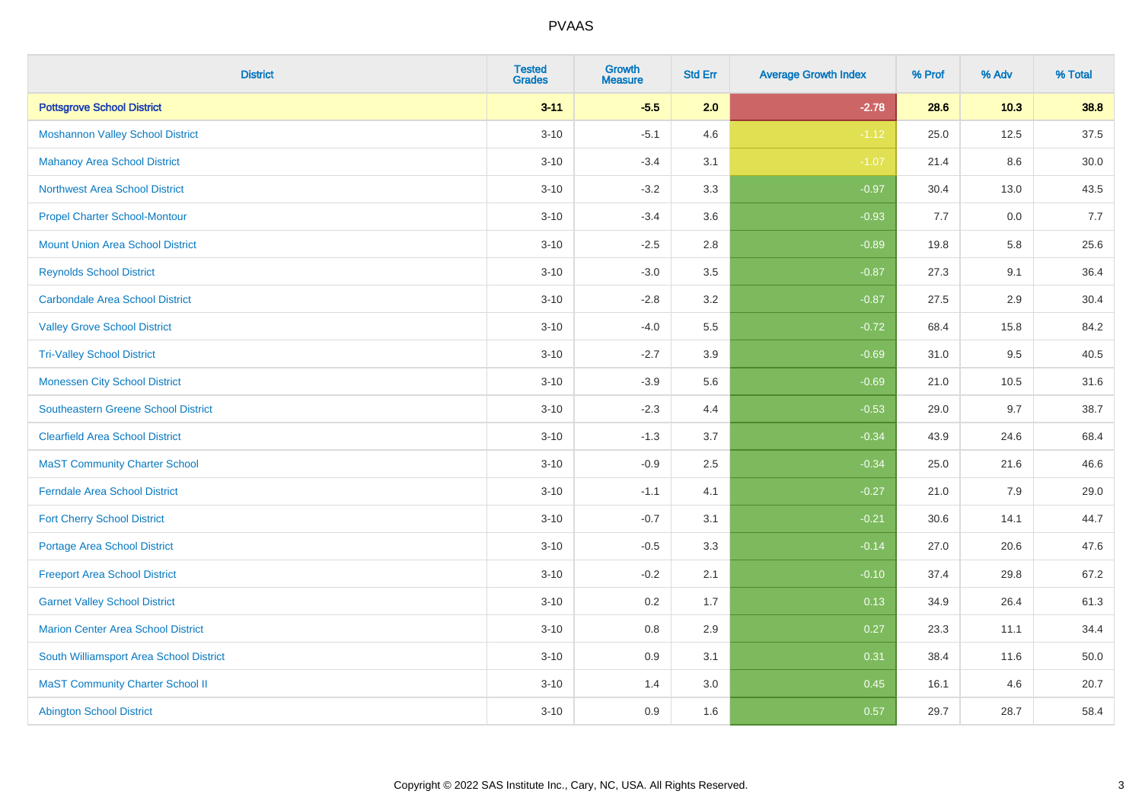| <b>District</b>                            | <b>Tested</b><br><b>Grades</b> | Growth<br><b>Measure</b> | <b>Std Err</b> | <b>Average Growth Index</b> | % Prof | % Adv  | % Total |
|--------------------------------------------|--------------------------------|--------------------------|----------------|-----------------------------|--------|--------|---------|
| <b>Pottsgrove School District</b>          | $3 - 11$                       | $-5.5$                   | 2.0            | $-2.78$                     | 28.6   | $10.3$ | 38.8    |
| <b>Moshannon Valley School District</b>    | $3 - 10$                       | $-5.1$                   | 4.6            | $-1.12$                     | 25.0   | 12.5   | 37.5    |
| <b>Mahanoy Area School District</b>        | $3 - 10$                       | $-3.4$                   | 3.1            | $-1.07$                     | 21.4   | 8.6    | 30.0    |
| <b>Northwest Area School District</b>      | $3 - 10$                       | $-3.2$                   | 3.3            | $-0.97$                     | 30.4   | 13.0   | 43.5    |
| <b>Propel Charter School-Montour</b>       | $3 - 10$                       | $-3.4$                   | 3.6            | $-0.93$                     | 7.7    | 0.0    | 7.7     |
| <b>Mount Union Area School District</b>    | $3 - 10$                       | $-2.5$                   | 2.8            | $-0.89$                     | 19.8   | 5.8    | 25.6    |
| <b>Reynolds School District</b>            | $3 - 10$                       | $-3.0$                   | 3.5            | $-0.87$                     | 27.3   | 9.1    | 36.4    |
| <b>Carbondale Area School District</b>     | $3 - 10$                       | $-2.8$                   | 3.2            | $-0.87$                     | 27.5   | 2.9    | 30.4    |
| <b>Valley Grove School District</b>        | $3 - 10$                       | $-4.0$                   | 5.5            | $-0.72$                     | 68.4   | 15.8   | 84.2    |
| <b>Tri-Valley School District</b>          | $3 - 10$                       | $-2.7$                   | 3.9            | $-0.69$                     | 31.0   | 9.5    | 40.5    |
| <b>Monessen City School District</b>       | $3 - 10$                       | $-3.9$                   | 5.6            | $-0.69$                     | 21.0   | 10.5   | 31.6    |
| <b>Southeastern Greene School District</b> | $3 - 10$                       | $-2.3$                   | 4.4            | $-0.53$                     | 29.0   | 9.7    | 38.7    |
| <b>Clearfield Area School District</b>     | $3 - 10$                       | $-1.3$                   | 3.7            | $-0.34$                     | 43.9   | 24.6   | 68.4    |
| <b>MaST Community Charter School</b>       | $3 - 10$                       | $-0.9$                   | 2.5            | $-0.34$                     | 25.0   | 21.6   | 46.6    |
| <b>Ferndale Area School District</b>       | $3 - 10$                       | $-1.1$                   | 4.1            | $-0.27$                     | 21.0   | 7.9    | 29.0    |
| <b>Fort Cherry School District</b>         | $3 - 10$                       | $-0.7$                   | 3.1            | $-0.21$                     | 30.6   | 14.1   | 44.7    |
| <b>Portage Area School District</b>        | $3 - 10$                       | $-0.5$                   | 3.3            | $-0.14$                     | 27.0   | 20.6   | 47.6    |
| <b>Freeport Area School District</b>       | $3 - 10$                       | $-0.2$                   | 2.1            | $-0.10$                     | 37.4   | 29.8   | 67.2    |
| <b>Garnet Valley School District</b>       | $3 - 10$                       | 0.2                      | 1.7            | 0.13                        | 34.9   | 26.4   | 61.3    |
| <b>Marion Center Area School District</b>  | $3 - 10$                       | $0.8\,$                  | 2.9            | 0.27                        | 23.3   | 11.1   | 34.4    |
| South Williamsport Area School District    | $3 - 10$                       | 0.9                      | 3.1            | 0.31                        | 38.4   | 11.6   | 50.0    |
| <b>MaST Community Charter School II</b>    | $3 - 10$                       | 1.4                      | 3.0            | 0.45                        | 16.1   | 4.6    | 20.7    |
| <b>Abington School District</b>            | $3 - 10$                       | 0.9                      | 1.6            | 0.57                        | 29.7   | 28.7   | 58.4    |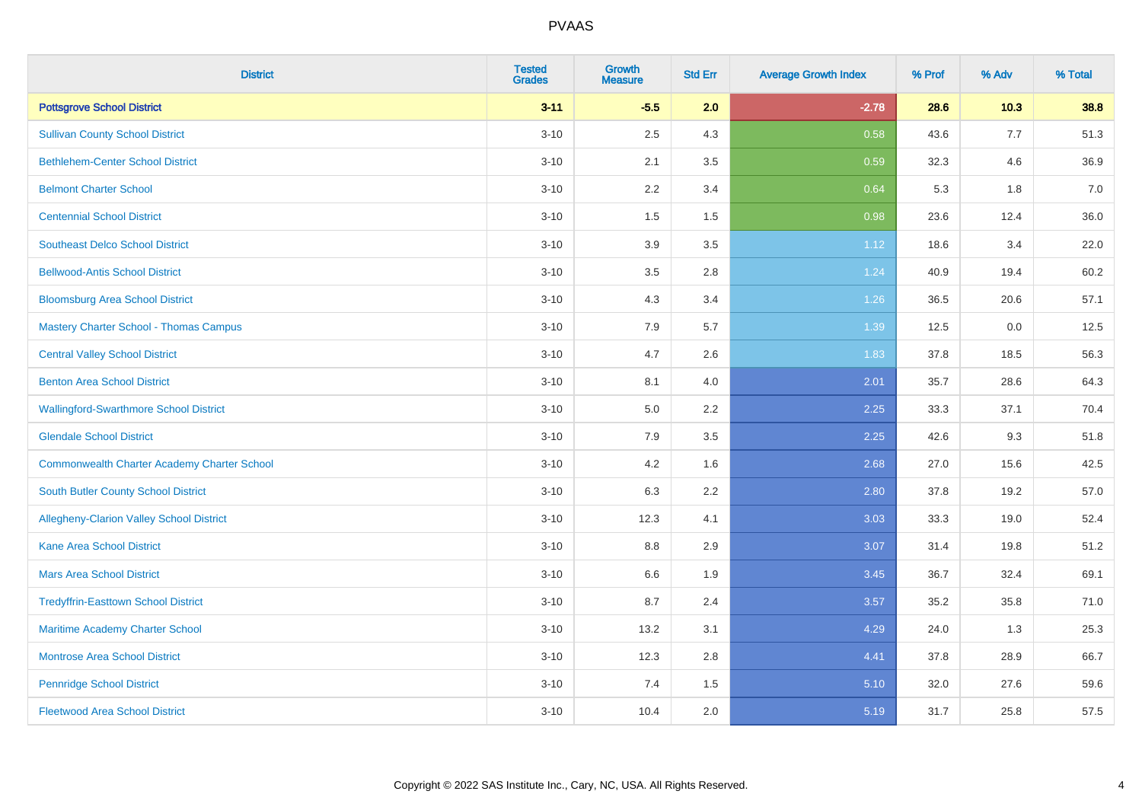| <b>District</b>                                    | <b>Tested</b><br><b>Grades</b> | <b>Growth</b><br><b>Measure</b> | <b>Std Err</b> | <b>Average Growth Index</b> | % Prof | % Adv | % Total |
|----------------------------------------------------|--------------------------------|---------------------------------|----------------|-----------------------------|--------|-------|---------|
| <b>Pottsgrove School District</b>                  | $3 - 11$                       | $-5.5$                          | 2.0            | $-2.78$                     | 28.6   | 10.3  | 38.8    |
| <b>Sullivan County School District</b>             | $3 - 10$                       | 2.5                             | 4.3            | 0.58                        | 43.6   | 7.7   | 51.3    |
| <b>Bethlehem-Center School District</b>            | $3 - 10$                       | 2.1                             | 3.5            | 0.59                        | 32.3   | 4.6   | 36.9    |
| <b>Belmont Charter School</b>                      | $3 - 10$                       | 2.2                             | 3.4            | 0.64                        | 5.3    | 1.8   | 7.0     |
| <b>Centennial School District</b>                  | $3 - 10$                       | 1.5                             | 1.5            | 0.98                        | 23.6   | 12.4  | 36.0    |
| <b>Southeast Delco School District</b>             | $3 - 10$                       | 3.9                             | 3.5            | 1.12                        | 18.6   | 3.4   | 22.0    |
| <b>Bellwood-Antis School District</b>              | $3 - 10$                       | 3.5                             | 2.8            | 1.24                        | 40.9   | 19.4  | 60.2    |
| <b>Bloomsburg Area School District</b>             | $3 - 10$                       | 4.3                             | 3.4            | 1.26                        | 36.5   | 20.6  | 57.1    |
| <b>Mastery Charter School - Thomas Campus</b>      | $3 - 10$                       | 7.9                             | 5.7            | 1.39                        | 12.5   | 0.0   | 12.5    |
| <b>Central Valley School District</b>              | $3 - 10$                       | 4.7                             | 2.6            | 1.83                        | 37.8   | 18.5  | 56.3    |
| <b>Benton Area School District</b>                 | $3 - 10$                       | 8.1                             | 4.0            | 2.01                        | 35.7   | 28.6  | 64.3    |
| <b>Wallingford-Swarthmore School District</b>      | $3 - 10$                       | 5.0                             | 2.2            | 2.25                        | 33.3   | 37.1  | 70.4    |
| <b>Glendale School District</b>                    | $3 - 10$                       | 7.9                             | 3.5            | 2.25                        | 42.6   | 9.3   | 51.8    |
| <b>Commonwealth Charter Academy Charter School</b> | $3 - 10$                       | 4.2                             | 1.6            | 2.68                        | 27.0   | 15.6  | 42.5    |
| South Butler County School District                | $3 - 10$                       | 6.3                             | 2.2            | 2.80                        | 37.8   | 19.2  | 57.0    |
| Allegheny-Clarion Valley School District           | $3 - 10$                       | 12.3                            | 4.1            | 3.03                        | 33.3   | 19.0  | 52.4    |
| <b>Kane Area School District</b>                   | $3 - 10$                       | 8.8                             | 2.9            | 3.07                        | 31.4   | 19.8  | 51.2    |
| <b>Mars Area School District</b>                   | $3 - 10$                       | 6.6                             | 1.9            | 3.45                        | 36.7   | 32.4  | 69.1    |
| <b>Tredyffrin-Easttown School District</b>         | $3 - 10$                       | 8.7                             | 2.4            | 3.57                        | 35.2   | 35.8  | 71.0    |
| Maritime Academy Charter School                    | $3 - 10$                       | 13.2                            | 3.1            | 4.29                        | 24.0   | 1.3   | 25.3    |
| Montrose Area School District                      | $3 - 10$                       | 12.3                            | 2.8            | 4.41                        | 37.8   | 28.9  | 66.7    |
| <b>Pennridge School District</b>                   | $3 - 10$                       | 7.4                             | 1.5            | 5.10                        | 32.0   | 27.6  | 59.6    |
| <b>Fleetwood Area School District</b>              | $3 - 10$                       | 10.4                            | 2.0            | 5.19                        | 31.7   | 25.8  | 57.5    |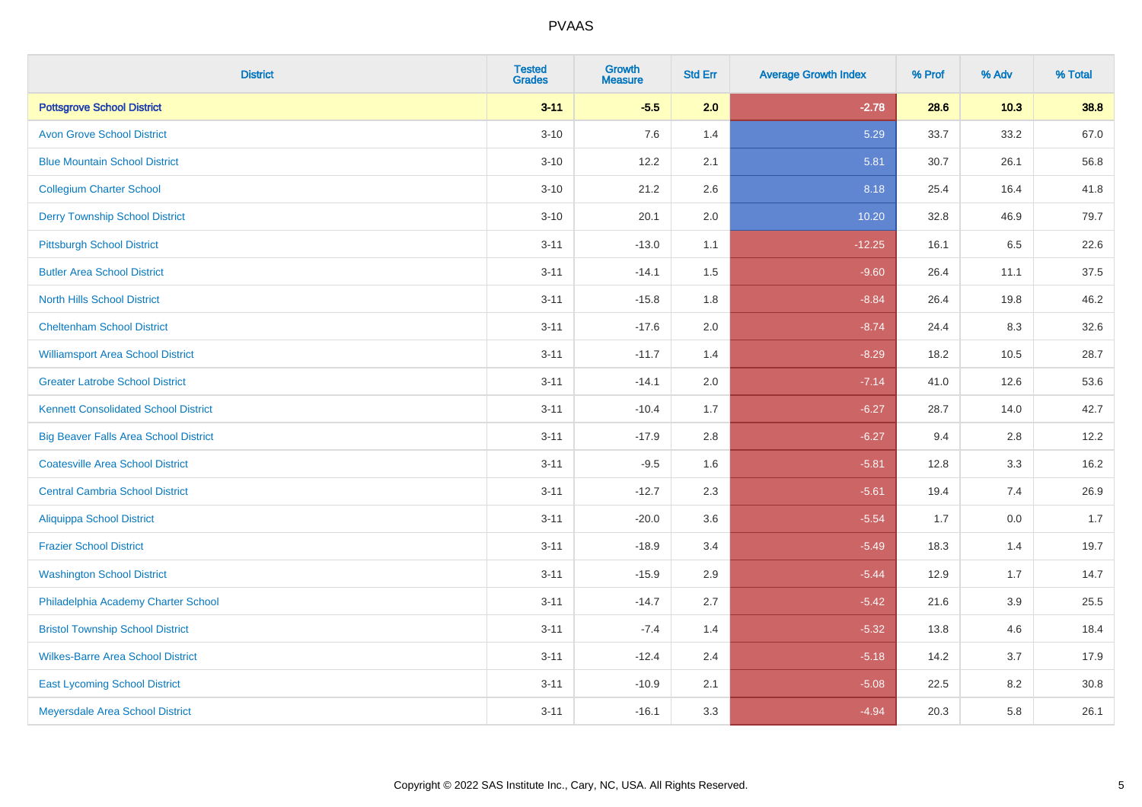| <b>District</b>                              | <b>Tested</b><br><b>Grades</b> | Growth<br><b>Measure</b> | <b>Std Err</b> | <b>Average Growth Index</b> | % Prof | % Adv  | % Total |
|----------------------------------------------|--------------------------------|--------------------------|----------------|-----------------------------|--------|--------|---------|
| <b>Pottsgrove School District</b>            | $3 - 11$                       | $-5.5$                   | 2.0            | $-2.78$                     | 28.6   | $10.3$ | 38.8    |
| <b>Avon Grove School District</b>            | $3 - 10$                       | 7.6                      | 1.4            | 5.29                        | 33.7   | 33.2   | 67.0    |
| <b>Blue Mountain School District</b>         | $3 - 10$                       | 12.2                     | 2.1            | 5.81                        | 30.7   | 26.1   | 56.8    |
| <b>Collegium Charter School</b>              | $3 - 10$                       | 21.2                     | 2.6            | 8.18                        | 25.4   | 16.4   | 41.8    |
| <b>Derry Township School District</b>        | $3 - 10$                       | 20.1                     | 2.0            | 10.20                       | 32.8   | 46.9   | 79.7    |
| <b>Pittsburgh School District</b>            | $3 - 11$                       | $-13.0$                  | 1.1            | $-12.25$                    | 16.1   | 6.5    | 22.6    |
| <b>Butler Area School District</b>           | $3 - 11$                       | $-14.1$                  | 1.5            | $-9.60$                     | 26.4   | 11.1   | 37.5    |
| <b>North Hills School District</b>           | $3 - 11$                       | $-15.8$                  | 1.8            | $-8.84$                     | 26.4   | 19.8   | 46.2    |
| <b>Cheltenham School District</b>            | $3 - 11$                       | $-17.6$                  | 2.0            | $-8.74$                     | 24.4   | 8.3    | 32.6    |
| <b>Williamsport Area School District</b>     | $3 - 11$                       | $-11.7$                  | 1.4            | $-8.29$                     | 18.2   | 10.5   | 28.7    |
| <b>Greater Latrobe School District</b>       | $3 - 11$                       | $-14.1$                  | 2.0            | $-7.14$                     | 41.0   | 12.6   | 53.6    |
| <b>Kennett Consolidated School District</b>  | $3 - 11$                       | $-10.4$                  | 1.7            | $-6.27$                     | 28.7   | 14.0   | 42.7    |
| <b>Big Beaver Falls Area School District</b> | $3 - 11$                       | $-17.9$                  | 2.8            | $-6.27$                     | 9.4    | 2.8    | 12.2    |
| <b>Coatesville Area School District</b>      | $3 - 11$                       | $-9.5$                   | 1.6            | $-5.81$                     | 12.8   | 3.3    | 16.2    |
| <b>Central Cambria School District</b>       | $3 - 11$                       | $-12.7$                  | 2.3            | $-5.61$                     | 19.4   | 7.4    | 26.9    |
| <b>Aliquippa School District</b>             | $3 - 11$                       | $-20.0$                  | 3.6            | $-5.54$                     | 1.7    | 0.0    | 1.7     |
| <b>Frazier School District</b>               | $3 - 11$                       | $-18.9$                  | 3.4            | $-5.49$                     | 18.3   | 1.4    | 19.7    |
| <b>Washington School District</b>            | $3 - 11$                       | $-15.9$                  | 2.9            | $-5.44$                     | 12.9   | 1.7    | 14.7    |
| Philadelphia Academy Charter School          | $3 - 11$                       | $-14.7$                  | 2.7            | $-5.42$                     | 21.6   | 3.9    | 25.5    |
| <b>Bristol Township School District</b>      | $3 - 11$                       | $-7.4$                   | 1.4            | $-5.32$                     | 13.8   | 4.6    | 18.4    |
| <b>Wilkes-Barre Area School District</b>     | $3 - 11$                       | $-12.4$                  | 2.4            | $-5.18$                     | 14.2   | 3.7    | 17.9    |
| <b>East Lycoming School District</b>         | $3 - 11$                       | $-10.9$                  | 2.1            | $-5.08$                     | 22.5   | 8.2    | 30.8    |
| Meyersdale Area School District              | $3 - 11$                       | $-16.1$                  | 3.3            | $-4.94$                     | 20.3   | 5.8    | 26.1    |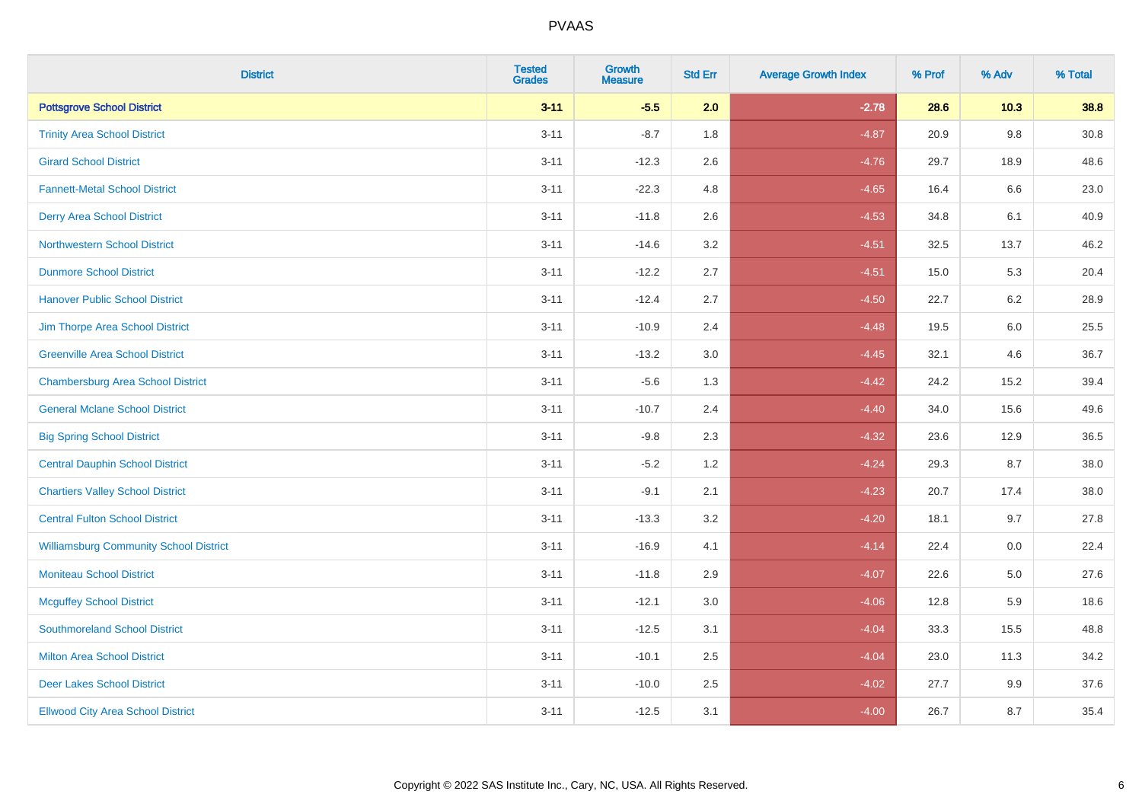| <b>District</b>                               | <b>Tested</b><br><b>Grades</b> | Growth<br><b>Measure</b> | <b>Std Err</b> | <b>Average Growth Index</b> | % Prof | % Adv   | % Total |
|-----------------------------------------------|--------------------------------|--------------------------|----------------|-----------------------------|--------|---------|---------|
| <b>Pottsgrove School District</b>             | $3 - 11$                       | $-5.5$                   | 2.0            | $-2.78$                     | 28.6   | $10.3$  | 38.8    |
| <b>Trinity Area School District</b>           | $3 - 11$                       | $-8.7$                   | 1.8            | $-4.87$                     | 20.9   | $9.8\,$ | 30.8    |
| <b>Girard School District</b>                 | $3 - 11$                       | $-12.3$                  | 2.6            | $-4.76$                     | 29.7   | 18.9    | 48.6    |
| <b>Fannett-Metal School District</b>          | $3 - 11$                       | $-22.3$                  | 4.8            | $-4.65$                     | 16.4   | $6.6\,$ | 23.0    |
| <b>Derry Area School District</b>             | $3 - 11$                       | $-11.8$                  | 2.6            | $-4.53$                     | 34.8   | 6.1     | 40.9    |
| <b>Northwestern School District</b>           | $3 - 11$                       | $-14.6$                  | 3.2            | $-4.51$                     | 32.5   | 13.7    | 46.2    |
| <b>Dunmore School District</b>                | $3 - 11$                       | $-12.2$                  | 2.7            | $-4.51$                     | 15.0   | 5.3     | 20.4    |
| <b>Hanover Public School District</b>         | $3 - 11$                       | $-12.4$                  | 2.7            | $-4.50$                     | 22.7   | 6.2     | 28.9    |
| Jim Thorpe Area School District               | $3 - 11$                       | $-10.9$                  | 2.4            | $-4.48$                     | 19.5   | 6.0     | 25.5    |
| <b>Greenville Area School District</b>        | $3 - 11$                       | $-13.2$                  | 3.0            | $-4.45$                     | 32.1   | 4.6     | 36.7    |
| <b>Chambersburg Area School District</b>      | $3 - 11$                       | $-5.6$                   | 1.3            | $-4.42$                     | 24.2   | 15.2    | 39.4    |
| <b>General Mclane School District</b>         | $3 - 11$                       | $-10.7$                  | 2.4            | $-4.40$                     | 34.0   | 15.6    | 49.6    |
| <b>Big Spring School District</b>             | $3 - 11$                       | $-9.8$                   | 2.3            | $-4.32$                     | 23.6   | 12.9    | 36.5    |
| <b>Central Dauphin School District</b>        | $3 - 11$                       | $-5.2$                   | 1.2            | $-4.24$                     | 29.3   | 8.7     | 38.0    |
| <b>Chartiers Valley School District</b>       | $3 - 11$                       | $-9.1$                   | 2.1            | $-4.23$                     | 20.7   | 17.4    | 38.0    |
| <b>Central Fulton School District</b>         | $3 - 11$                       | $-13.3$                  | 3.2            | $-4.20$                     | 18.1   | 9.7     | 27.8    |
| <b>Williamsburg Community School District</b> | $3 - 11$                       | $-16.9$                  | 4.1            | $-4.14$                     | 22.4   | 0.0     | 22.4    |
| <b>Moniteau School District</b>               | $3 - 11$                       | $-11.8$                  | 2.9            | $-4.07$                     | 22.6   | 5.0     | 27.6    |
| <b>Mcguffey School District</b>               | $3 - 11$                       | $-12.1$                  | 3.0            | $-4.06$                     | 12.8   | 5.9     | 18.6    |
| <b>Southmoreland School District</b>          | $3 - 11$                       | $-12.5$                  | 3.1            | $-4.04$                     | 33.3   | 15.5    | 48.8    |
| <b>Milton Area School District</b>            | $3 - 11$                       | $-10.1$                  | 2.5            | $-4.04$                     | 23.0   | 11.3    | 34.2    |
| <b>Deer Lakes School District</b>             | $3 - 11$                       | $-10.0$                  | 2.5            | $-4.02$                     | 27.7   | 9.9     | 37.6    |
| <b>Ellwood City Area School District</b>      | $3 - 11$                       | $-12.5$                  | 3.1            | $-4.00$                     | 26.7   | 8.7     | 35.4    |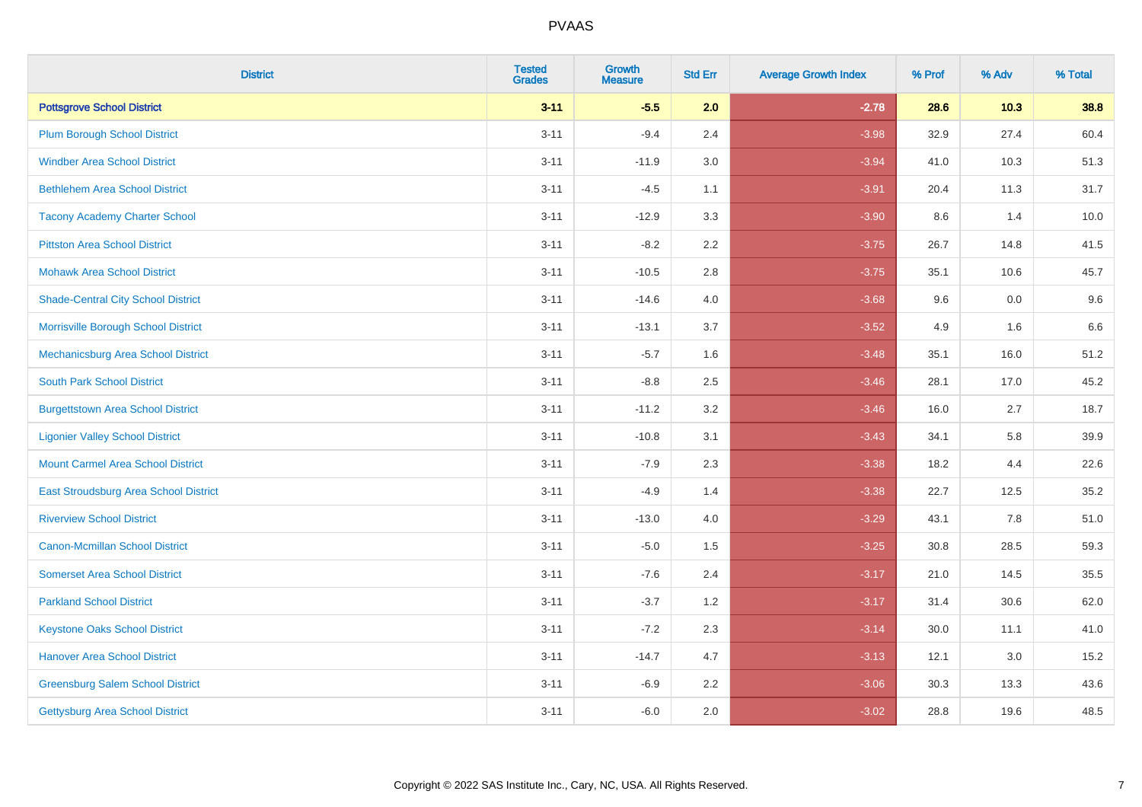| <b>District</b>                           | <b>Tested</b><br><b>Grades</b> | <b>Growth</b><br><b>Measure</b> | <b>Std Err</b> | <b>Average Growth Index</b> | % Prof | % Adv  | % Total |
|-------------------------------------------|--------------------------------|---------------------------------|----------------|-----------------------------|--------|--------|---------|
| <b>Pottsgrove School District</b>         | $3 - 11$                       | $-5.5$                          | 2.0            | $-2.78$                     | 28.6   | $10.3$ | 38.8    |
| <b>Plum Borough School District</b>       | $3 - 11$                       | $-9.4$                          | 2.4            | $-3.98$                     | 32.9   | 27.4   | 60.4    |
| <b>Windber Area School District</b>       | $3 - 11$                       | $-11.9$                         | 3.0            | $-3.94$                     | 41.0   | 10.3   | 51.3    |
| <b>Bethlehem Area School District</b>     | $3 - 11$                       | $-4.5$                          | 1.1            | $-3.91$                     | 20.4   | 11.3   | 31.7    |
| <b>Tacony Academy Charter School</b>      | $3 - 11$                       | $-12.9$                         | 3.3            | $-3.90$                     | 8.6    | 1.4    | 10.0    |
| <b>Pittston Area School District</b>      | $3 - 11$                       | $-8.2$                          | 2.2            | $-3.75$                     | 26.7   | 14.8   | 41.5    |
| <b>Mohawk Area School District</b>        | $3 - 11$                       | $-10.5$                         | 2.8            | $-3.75$                     | 35.1   | 10.6   | 45.7    |
| <b>Shade-Central City School District</b> | $3 - 11$                       | $-14.6$                         | 4.0            | $-3.68$                     | 9.6    | 0.0    | 9.6     |
| Morrisville Borough School District       | $3 - 11$                       | $-13.1$                         | 3.7            | $-3.52$                     | 4.9    | 1.6    | 6.6     |
| Mechanicsburg Area School District        | $3 - 11$                       | $-5.7$                          | 1.6            | $-3.48$                     | 35.1   | 16.0   | 51.2    |
| <b>South Park School District</b>         | $3 - 11$                       | $-8.8$                          | 2.5            | $-3.46$                     | 28.1   | 17.0   | 45.2    |
| <b>Burgettstown Area School District</b>  | $3 - 11$                       | $-11.2$                         | 3.2            | $-3.46$                     | 16.0   | 2.7    | 18.7    |
| <b>Ligonier Valley School District</b>    | $3 - 11$                       | $-10.8$                         | 3.1            | $-3.43$                     | 34.1   | 5.8    | 39.9    |
| <b>Mount Carmel Area School District</b>  | $3 - 11$                       | $-7.9$                          | 2.3            | $-3.38$                     | 18.2   | 4.4    | 22.6    |
| East Stroudsburg Area School District     | $3 - 11$                       | $-4.9$                          | 1.4            | $-3.38$                     | 22.7   | 12.5   | 35.2    |
| <b>Riverview School District</b>          | $3 - 11$                       | $-13.0$                         | 4.0            | $-3.29$                     | 43.1   | 7.8    | 51.0    |
| <b>Canon-Mcmillan School District</b>     | $3 - 11$                       | $-5.0$                          | 1.5            | $-3.25$                     | 30.8   | 28.5   | 59.3    |
| <b>Somerset Area School District</b>      | $3 - 11$                       | $-7.6$                          | 2.4            | $-3.17$                     | 21.0   | 14.5   | 35.5    |
| <b>Parkland School District</b>           | $3 - 11$                       | $-3.7$                          | 1.2            | $-3.17$                     | 31.4   | 30.6   | 62.0    |
| <b>Keystone Oaks School District</b>      | $3 - 11$                       | $-7.2$                          | 2.3            | $-3.14$                     | 30.0   | 11.1   | 41.0    |
| <b>Hanover Area School District</b>       | $3 - 11$                       | $-14.7$                         | 4.7            | $-3.13$                     | 12.1   | 3.0    | 15.2    |
| <b>Greensburg Salem School District</b>   | $3 - 11$                       | $-6.9$                          | 2.2            | $-3.06$                     | 30.3   | 13.3   | 43.6    |
| Gettysburg Area School District           | $3 - 11$                       | $-6.0$                          | 2.0            | $-3.02$                     | 28.8   | 19.6   | 48.5    |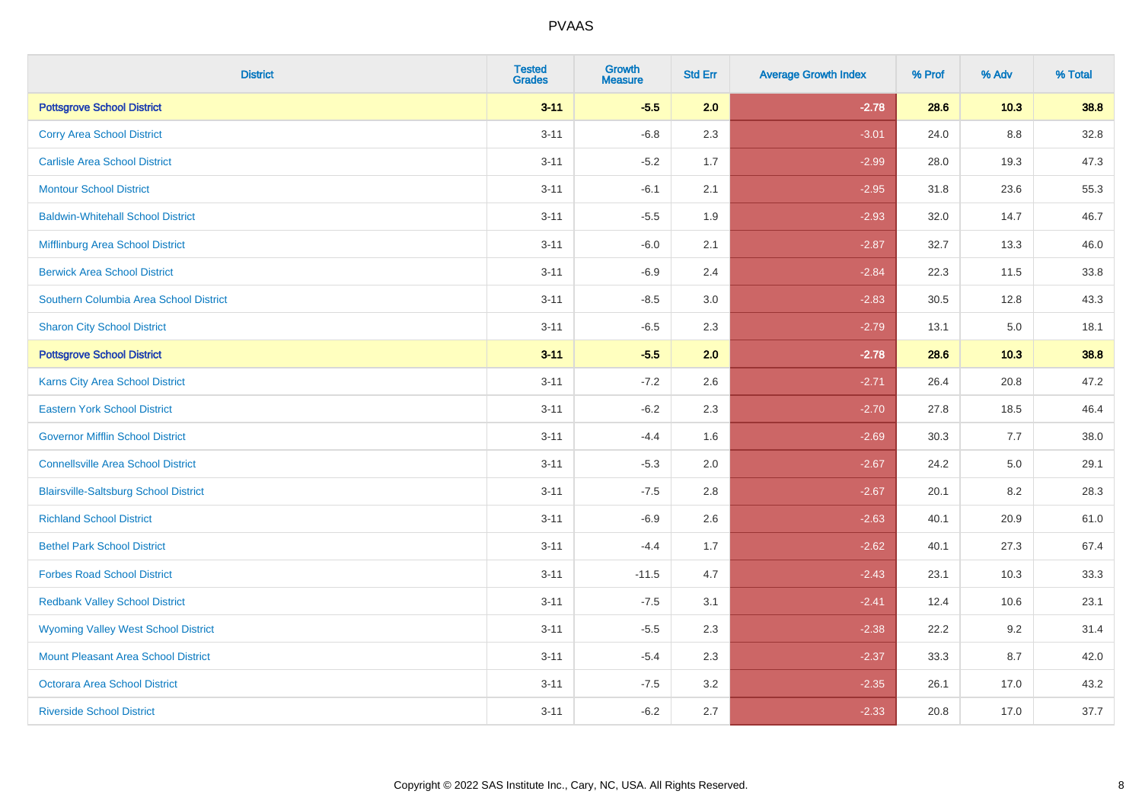| <b>District</b>                              | <b>Tested</b><br><b>Grades</b> | <b>Growth</b><br><b>Measure</b> | <b>Std Err</b> | <b>Average Growth Index</b> | % Prof | % Adv   | % Total |
|----------------------------------------------|--------------------------------|---------------------------------|----------------|-----------------------------|--------|---------|---------|
| <b>Pottsgrove School District</b>            | $3 - 11$                       | $-5.5$                          | 2.0            | $-2.78$                     | 28.6   | $10.3$  | 38.8    |
| <b>Corry Area School District</b>            | $3 - 11$                       | $-6.8$                          | 2.3            | $-3.01$                     | 24.0   | 8.8     | 32.8    |
| <b>Carlisle Area School District</b>         | $3 - 11$                       | $-5.2$                          | 1.7            | $-2.99$                     | 28.0   | 19.3    | 47.3    |
| <b>Montour School District</b>               | $3 - 11$                       | $-6.1$                          | 2.1            | $-2.95$                     | 31.8   | 23.6    | 55.3    |
| <b>Baldwin-Whitehall School District</b>     | $3 - 11$                       | $-5.5$                          | 1.9            | $-2.93$                     | 32.0   | 14.7    | 46.7    |
| Mifflinburg Area School District             | $3 - 11$                       | $-6.0$                          | 2.1            | $-2.87$                     | 32.7   | 13.3    | 46.0    |
| <b>Berwick Area School District</b>          | $3 - 11$                       | $-6.9$                          | 2.4            | $-2.84$                     | 22.3   | 11.5    | 33.8    |
| Southern Columbia Area School District       | $3 - 11$                       | $-8.5$                          | 3.0            | $-2.83$                     | 30.5   | 12.8    | 43.3    |
| <b>Sharon City School District</b>           | $3 - 11$                       | $-6.5$                          | 2.3            | $-2.79$                     | 13.1   | $5.0\,$ | 18.1    |
| <b>Pottsgrove School District</b>            | $3 - 11$                       | $-5.5$                          | 2.0            | $-2.78$                     | 28.6   | 10.3    | 38.8    |
| Karns City Area School District              | $3 - 11$                       | $-7.2$                          | 2.6            | $-2.71$                     | 26.4   | 20.8    | 47.2    |
| <b>Eastern York School District</b>          | $3 - 11$                       | $-6.2$                          | 2.3            | $-2.70$                     | 27.8   | 18.5    | 46.4    |
| <b>Governor Mifflin School District</b>      | $3 - 11$                       | $-4.4$                          | 1.6            | $-2.69$                     | 30.3   | 7.7     | 38.0    |
| <b>Connellsville Area School District</b>    | $3 - 11$                       | $-5.3$                          | 2.0            | $-2.67$                     | 24.2   | $5.0\,$ | 29.1    |
| <b>Blairsville-Saltsburg School District</b> | $3 - 11$                       | $-7.5$                          | 2.8            | $-2.67$                     | 20.1   | 8.2     | 28.3    |
| <b>Richland School District</b>              | $3 - 11$                       | $-6.9$                          | 2.6            | $-2.63$                     | 40.1   | 20.9    | 61.0    |
| <b>Bethel Park School District</b>           | $3 - 11$                       | $-4.4$                          | 1.7            | $-2.62$                     | 40.1   | 27.3    | 67.4    |
| <b>Forbes Road School District</b>           | $3 - 11$                       | $-11.5$                         | 4.7            | $-2.43$                     | 23.1   | 10.3    | 33.3    |
| <b>Redbank Valley School District</b>        | $3 - 11$                       | $-7.5$                          | 3.1            | $-2.41$                     | 12.4   | 10.6    | 23.1    |
| <b>Wyoming Valley West School District</b>   | $3 - 11$                       | $-5.5$                          | 2.3            | $-2.38$                     | 22.2   | 9.2     | 31.4    |
| <b>Mount Pleasant Area School District</b>   | $3 - 11$                       | $-5.4$                          | 2.3            | $-2.37$                     | 33.3   | 8.7     | 42.0    |
| <b>Octorara Area School District</b>         | $3 - 11$                       | $-7.5$                          | 3.2            | $-2.35$                     | 26.1   | 17.0    | 43.2    |
| <b>Riverside School District</b>             | $3 - 11$                       | $-6.2$                          | 2.7            | $-2.33$                     | 20.8   | 17.0    | 37.7    |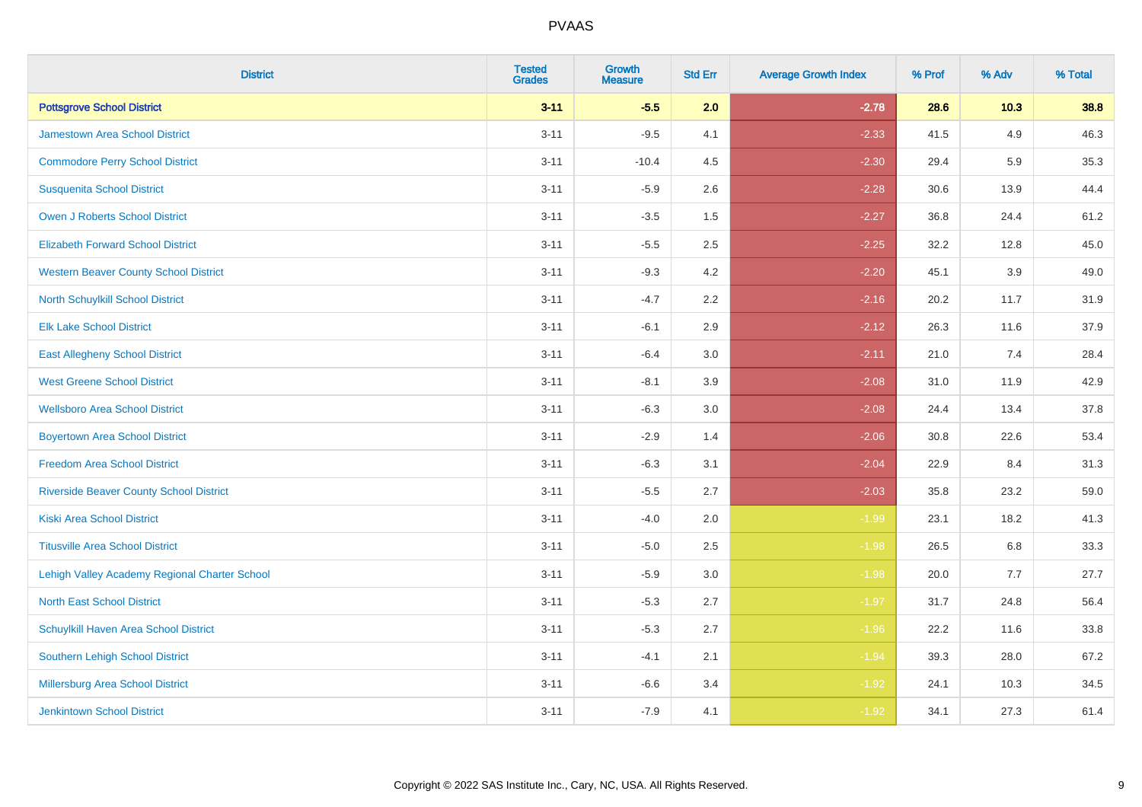| <b>District</b>                                | <b>Tested</b><br><b>Grades</b> | Growth<br><b>Measure</b> | <b>Std Err</b> | <b>Average Growth Index</b> | % Prof | % Adv  | % Total |
|------------------------------------------------|--------------------------------|--------------------------|----------------|-----------------------------|--------|--------|---------|
| <b>Pottsgrove School District</b>              | $3 - 11$                       | $-5.5$                   | 2.0            | $-2.78$                     | 28.6   | $10.3$ | 38.8    |
| <b>Jamestown Area School District</b>          | $3 - 11$                       | $-9.5$                   | 4.1            | $-2.33$                     | 41.5   | 4.9    | 46.3    |
| <b>Commodore Perry School District</b>         | $3 - 11$                       | $-10.4$                  | 4.5            | $-2.30$                     | 29.4   | 5.9    | 35.3    |
| <b>Susquenita School District</b>              | $3 - 11$                       | $-5.9$                   | 2.6            | $-2.28$                     | 30.6   | 13.9   | 44.4    |
| Owen J Roberts School District                 | $3 - 11$                       | $-3.5$                   | 1.5            | $-2.27$                     | 36.8   | 24.4   | 61.2    |
| <b>Elizabeth Forward School District</b>       | $3 - 11$                       | $-5.5$                   | 2.5            | $-2.25$                     | 32.2   | 12.8   | 45.0    |
| <b>Western Beaver County School District</b>   | $3 - 11$                       | $-9.3$                   | 4.2            | $-2.20$                     | 45.1   | 3.9    | 49.0    |
| <b>North Schuylkill School District</b>        | $3 - 11$                       | $-4.7$                   | 2.2            | $-2.16$                     | 20.2   | 11.7   | 31.9    |
| <b>Elk Lake School District</b>                | $3 - 11$                       | $-6.1$                   | 2.9            | $-2.12$                     | 26.3   | 11.6   | 37.9    |
| <b>East Allegheny School District</b>          | $3 - 11$                       | $-6.4$                   | 3.0            | $-2.11$                     | 21.0   | 7.4    | 28.4    |
| <b>West Greene School District</b>             | $3 - 11$                       | $-8.1$                   | 3.9            | $-2.08$                     | 31.0   | 11.9   | 42.9    |
| <b>Wellsboro Area School District</b>          | $3 - 11$                       | $-6.3$                   | 3.0            | $-2.08$                     | 24.4   | 13.4   | 37.8    |
| <b>Boyertown Area School District</b>          | $3 - 11$                       | $-2.9$                   | 1.4            | $-2.06$                     | 30.8   | 22.6   | 53.4    |
| <b>Freedom Area School District</b>            | $3 - 11$                       | $-6.3$                   | 3.1            | $-2.04$                     | 22.9   | 8.4    | 31.3    |
| <b>Riverside Beaver County School District</b> | $3 - 11$                       | $-5.5$                   | 2.7            | $-2.03$                     | 35.8   | 23.2   | 59.0    |
| <b>Kiski Area School District</b>              | $3 - 11$                       | $-4.0$                   | 2.0            | $-1.99$                     | 23.1   | 18.2   | 41.3    |
| <b>Titusville Area School District</b>         | $3 - 11$                       | $-5.0$                   | 2.5            | $-1.98$                     | 26.5   | 6.8    | 33.3    |
| Lehigh Valley Academy Regional Charter School  | $3 - 11$                       | $-5.9$                   | 3.0            | $-1.98$                     | 20.0   | 7.7    | 27.7    |
| <b>North East School District</b>              | $3 - 11$                       | $-5.3$                   | 2.7            | $-1.97$                     | 31.7   | 24.8   | 56.4    |
| Schuylkill Haven Area School District          | $3 - 11$                       | $-5.3$                   | 2.7            | $-1.96$                     | 22.2   | 11.6   | 33.8    |
| Southern Lehigh School District                | $3 - 11$                       | $-4.1$                   | 2.1            | $-1.94$                     | 39.3   | 28.0   | 67.2    |
| Millersburg Area School District               | $3 - 11$                       | $-6.6$                   | 3.4            | $-1.92$                     | 24.1   | 10.3   | 34.5    |
| Jenkintown School District                     | $3 - 11$                       | $-7.9$                   | 4.1            | $-1.92$                     | 34.1   | 27.3   | 61.4    |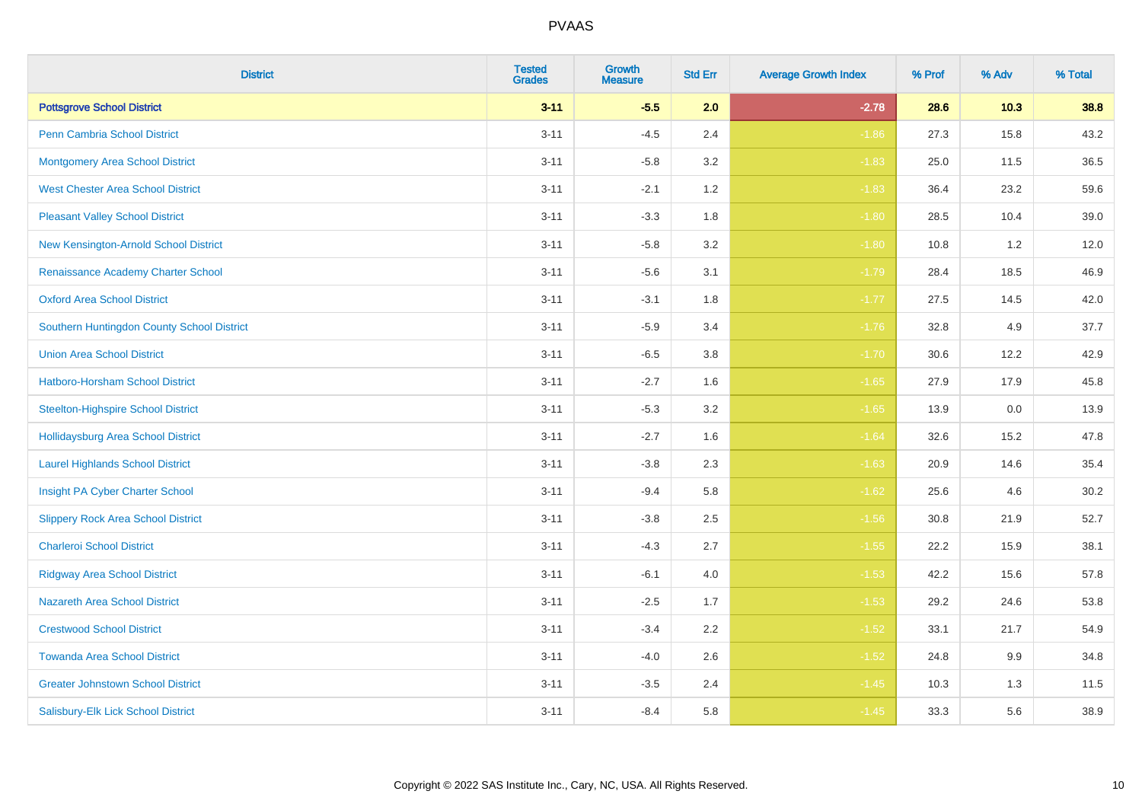| <b>District</b>                            | <b>Tested</b><br><b>Grades</b> | <b>Growth</b><br><b>Measure</b> | <b>Std Err</b> | <b>Average Growth Index</b> | % Prof | % Adv | % Total |
|--------------------------------------------|--------------------------------|---------------------------------|----------------|-----------------------------|--------|-------|---------|
| <b>Pottsgrove School District</b>          | $3 - 11$                       | $-5.5$                          | 2.0            | $-2.78$                     | 28.6   | 10.3  | 38.8    |
| <b>Penn Cambria School District</b>        | $3 - 11$                       | $-4.5$                          | 2.4            | $-1.86$                     | 27.3   | 15.8  | 43.2    |
| <b>Montgomery Area School District</b>     | $3 - 11$                       | $-5.8$                          | 3.2            | $-1.83$                     | 25.0   | 11.5  | 36.5    |
| <b>West Chester Area School District</b>   | $3 - 11$                       | $-2.1$                          | 1.2            | $-1.83$                     | 36.4   | 23.2  | 59.6    |
| <b>Pleasant Valley School District</b>     | $3 - 11$                       | $-3.3$                          | 1.8            | $-1.80$                     | 28.5   | 10.4  | 39.0    |
| New Kensington-Arnold School District      | $3 - 11$                       | $-5.8$                          | 3.2            | $-1.80$                     | 10.8   | 1.2   | 12.0    |
| Renaissance Academy Charter School         | $3 - 11$                       | $-5.6$                          | 3.1            | $-1.79$                     | 28.4   | 18.5  | 46.9    |
| <b>Oxford Area School District</b>         | $3 - 11$                       | $-3.1$                          | 1.8            | $-1.77$                     | 27.5   | 14.5  | 42.0    |
| Southern Huntingdon County School District | $3 - 11$                       | $-5.9$                          | 3.4            | $-1.76$                     | 32.8   | 4.9   | 37.7    |
| <b>Union Area School District</b>          | $3 - 11$                       | $-6.5$                          | 3.8            | $-1.70$                     | 30.6   | 12.2  | 42.9    |
| Hatboro-Horsham School District            | $3 - 11$                       | $-2.7$                          | 1.6            | $-1.65$                     | 27.9   | 17.9  | 45.8    |
| <b>Steelton-Highspire School District</b>  | $3 - 11$                       | $-5.3$                          | 3.2            | $-1.65$                     | 13.9   | 0.0   | 13.9    |
| <b>Hollidaysburg Area School District</b>  | $3 - 11$                       | $-2.7$                          | 1.6            | $-1.64$                     | 32.6   | 15.2  | 47.8    |
| <b>Laurel Highlands School District</b>    | $3 - 11$                       | $-3.8$                          | 2.3            | $-1.63$                     | 20.9   | 14.6  | 35.4    |
| Insight PA Cyber Charter School            | $3 - 11$                       | $-9.4$                          | 5.8            | $-1.62$                     | 25.6   | 4.6   | 30.2    |
| <b>Slippery Rock Area School District</b>  | $3 - 11$                       | $-3.8$                          | 2.5            | $-1.56$                     | 30.8   | 21.9  | 52.7    |
| <b>Charleroi School District</b>           | $3 - 11$                       | $-4.3$                          | 2.7            | $-1.55$                     | 22.2   | 15.9  | 38.1    |
| <b>Ridgway Area School District</b>        | $3 - 11$                       | $-6.1$                          | 4.0            | $-1.53$                     | 42.2   | 15.6  | 57.8    |
| <b>Nazareth Area School District</b>       | $3 - 11$                       | $-2.5$                          | 1.7            | $-1.53$                     | 29.2   | 24.6  | 53.8    |
| <b>Crestwood School District</b>           | $3 - 11$                       | $-3.4$                          | 2.2            | $-1.52$                     | 33.1   | 21.7  | 54.9    |
| <b>Towanda Area School District</b>        | $3 - 11$                       | $-4.0$                          | 2.6            | $-1.52$                     | 24.8   | 9.9   | 34.8    |
| <b>Greater Johnstown School District</b>   | $3 - 11$                       | $-3.5$                          | 2.4            | $-1.45$                     | 10.3   | 1.3   | 11.5    |
| Salisbury-Elk Lick School District         | $3 - 11$                       | $-8.4$                          | 5.8            | $-1.45$                     | 33.3   | 5.6   | 38.9    |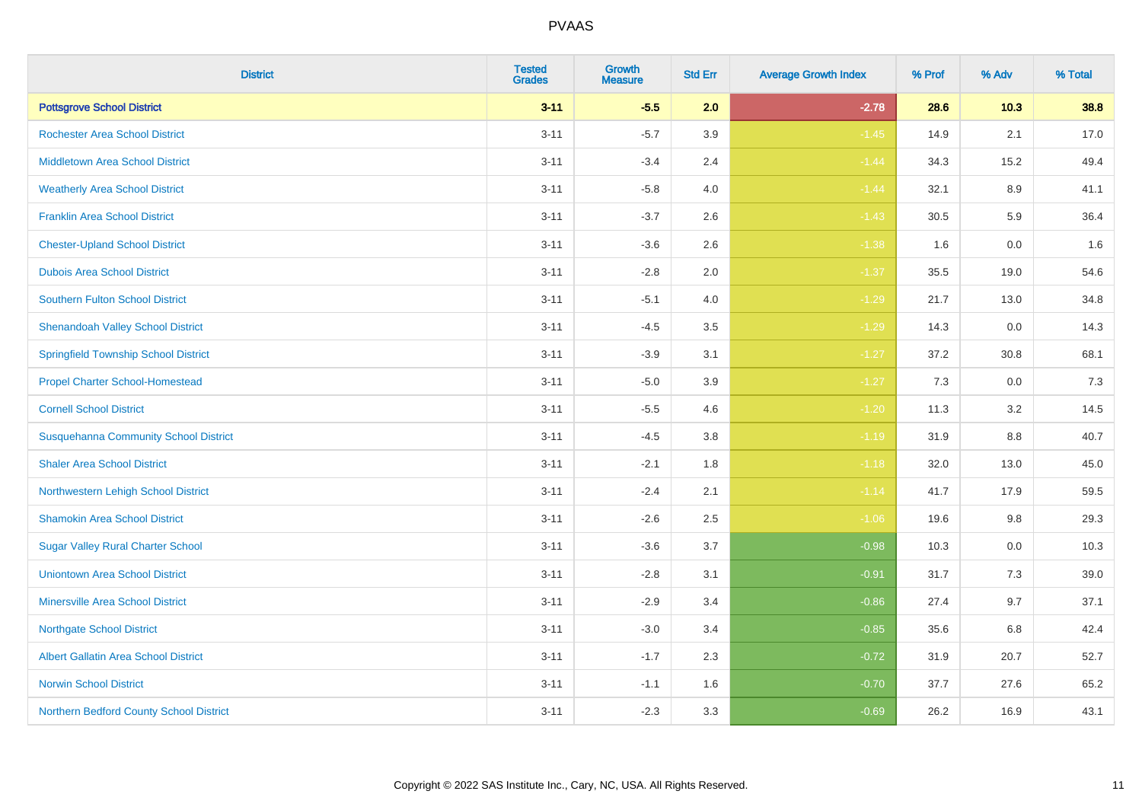| <b>District</b>                              | <b>Tested</b><br><b>Grades</b> | <b>Growth</b><br><b>Measure</b> | <b>Std Err</b> | <b>Average Growth Index</b> | % Prof | % Adv   | % Total |
|----------------------------------------------|--------------------------------|---------------------------------|----------------|-----------------------------|--------|---------|---------|
| <b>Pottsgrove School District</b>            | $3 - 11$                       | $-5.5$                          | 2.0            | $-2.78$                     | 28.6   | $10.3$  | 38.8    |
| <b>Rochester Area School District</b>        | $3 - 11$                       | $-5.7$                          | 3.9            | $-1.45$                     | 14.9   | 2.1     | 17.0    |
| <b>Middletown Area School District</b>       | $3 - 11$                       | $-3.4$                          | 2.4            | $-1.44$                     | 34.3   | 15.2    | 49.4    |
| <b>Weatherly Area School District</b>        | $3 - 11$                       | $-5.8$                          | $4.0\,$        | $-1.44$                     | 32.1   | $8.9\,$ | 41.1    |
| <b>Franklin Area School District</b>         | $3 - 11$                       | $-3.7$                          | 2.6            | $-1.43$                     | 30.5   | 5.9     | 36.4    |
| <b>Chester-Upland School District</b>        | $3 - 11$                       | $-3.6$                          | 2.6            | $-1.38$                     | 1.6    | 0.0     | 1.6     |
| <b>Dubois Area School District</b>           | $3 - 11$                       | $-2.8$                          | 2.0            | $-1.37$                     | 35.5   | 19.0    | 54.6    |
| <b>Southern Fulton School District</b>       | $3 - 11$                       | $-5.1$                          | 4.0            | $-1.29$                     | 21.7   | 13.0    | 34.8    |
| <b>Shenandoah Valley School District</b>     | $3 - 11$                       | $-4.5$                          | 3.5            | $-1.29$                     | 14.3   | 0.0     | 14.3    |
| <b>Springfield Township School District</b>  | $3 - 11$                       | $-3.9$                          | 3.1            | $-1.27$                     | 37.2   | 30.8    | 68.1    |
| <b>Propel Charter School-Homestead</b>       | $3 - 11$                       | $-5.0$                          | 3.9            | $-1.27$                     | 7.3    | 0.0     | 7.3     |
| <b>Cornell School District</b>               | $3 - 11$                       | $-5.5$                          | 4.6            | $-1.20$                     | 11.3   | 3.2     | 14.5    |
| <b>Susquehanna Community School District</b> | $3 - 11$                       | $-4.5$                          | $3.8\,$        | $-1.19$                     | 31.9   | $8.8\,$ | 40.7    |
| <b>Shaler Area School District</b>           | $3 - 11$                       | $-2.1$                          | 1.8            | $-1.18$                     | 32.0   | 13.0    | 45.0    |
| Northwestern Lehigh School District          | $3 - 11$                       | $-2.4$                          | 2.1            | $-1.14$                     | 41.7   | 17.9    | 59.5    |
| <b>Shamokin Area School District</b>         | $3 - 11$                       | $-2.6$                          | 2.5            | $-1.06$                     | 19.6   | 9.8     | 29.3    |
| <b>Sugar Valley Rural Charter School</b>     | $3 - 11$                       | $-3.6$                          | 3.7            | $-0.98$                     | 10.3   | 0.0     | 10.3    |
| <b>Uniontown Area School District</b>        | $3 - 11$                       | $-2.8$                          | 3.1            | $-0.91$                     | 31.7   | 7.3     | 39.0    |
| <b>Minersville Area School District</b>      | $3 - 11$                       | $-2.9$                          | 3.4            | $-0.86$                     | 27.4   | 9.7     | 37.1    |
| <b>Northgate School District</b>             | $3 - 11$                       | $-3.0$                          | 3.4            | $-0.85$                     | 35.6   | 6.8     | 42.4    |
| Albert Gallatin Area School District         | $3 - 11$                       | $-1.7$                          | 2.3            | $-0.72$                     | 31.9   | 20.7    | 52.7    |
| <b>Norwin School District</b>                | $3 - 11$                       | $-1.1$                          | 1.6            | $-0.70$                     | 37.7   | 27.6    | 65.2    |
| Northern Bedford County School District      | $3 - 11$                       | $-2.3$                          | 3.3            | $-0.69$                     | 26.2   | 16.9    | 43.1    |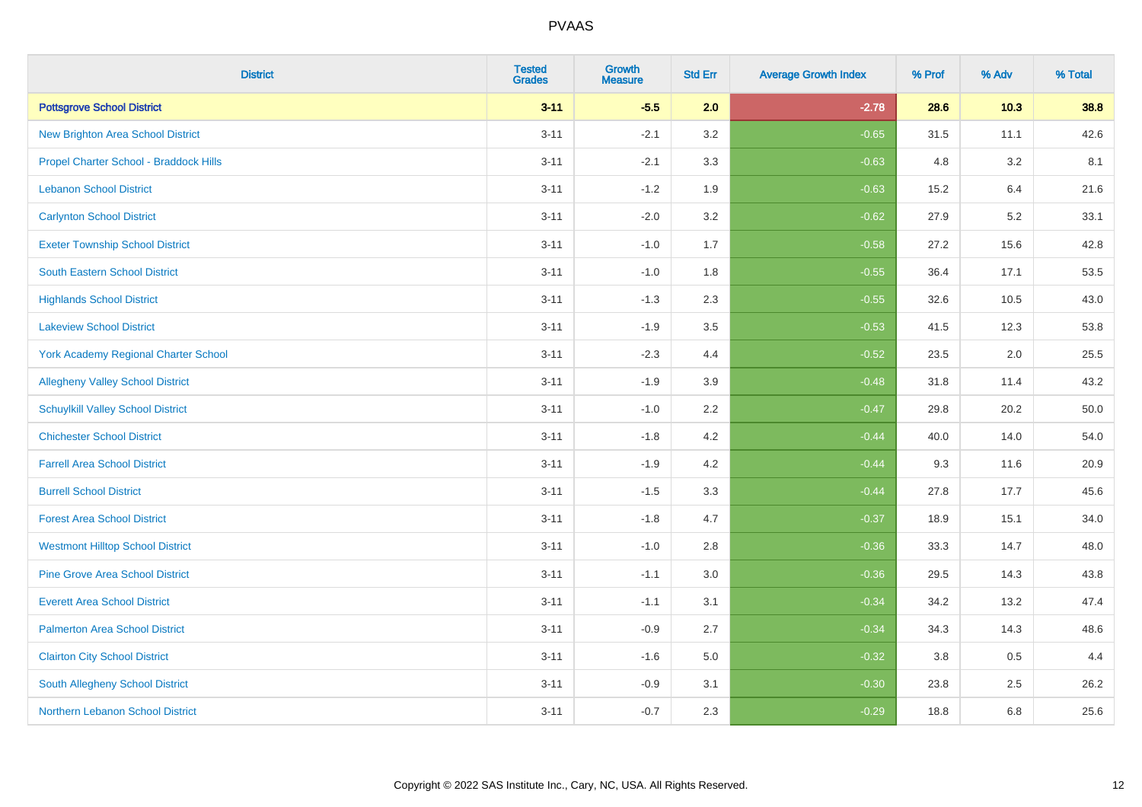| <b>District</b>                             | <b>Tested</b><br><b>Grades</b> | <b>Growth</b><br><b>Measure</b> | <b>Std Err</b> | <b>Average Growth Index</b> | % Prof | % Adv  | % Total |
|---------------------------------------------|--------------------------------|---------------------------------|----------------|-----------------------------|--------|--------|---------|
| <b>Pottsgrove School District</b>           | $3 - 11$                       | $-5.5$                          | 2.0            | $-2.78$                     | 28.6   | $10.3$ | 38.8    |
| <b>New Brighton Area School District</b>    | $3 - 11$                       | $-2.1$                          | 3.2            | $-0.65$                     | 31.5   | 11.1   | 42.6    |
| Propel Charter School - Braddock Hills      | $3 - 11$                       | $-2.1$                          | 3.3            | $-0.63$                     | 4.8    | 3.2    | 8.1     |
| <b>Lebanon School District</b>              | $3 - 11$                       | $-1.2$                          | 1.9            | $-0.63$                     | 15.2   | 6.4    | 21.6    |
| <b>Carlynton School District</b>            | $3 - 11$                       | $-2.0$                          | 3.2            | $-0.62$                     | 27.9   | 5.2    | 33.1    |
| <b>Exeter Township School District</b>      | $3 - 11$                       | $-1.0$                          | 1.7            | $-0.58$                     | 27.2   | 15.6   | 42.8    |
| South Eastern School District               | $3 - 11$                       | $-1.0$                          | 1.8            | $-0.55$                     | 36.4   | 17.1   | 53.5    |
| <b>Highlands School District</b>            | $3 - 11$                       | $-1.3$                          | 2.3            | $-0.55$                     | 32.6   | 10.5   | 43.0    |
| <b>Lakeview School District</b>             | $3 - 11$                       | $-1.9$                          | 3.5            | $-0.53$                     | 41.5   | 12.3   | 53.8    |
| <b>York Academy Regional Charter School</b> | $3 - 11$                       | $-2.3$                          | 4.4            | $-0.52$                     | 23.5   | 2.0    | 25.5    |
| <b>Allegheny Valley School District</b>     | $3 - 11$                       | $-1.9$                          | 3.9            | $-0.48$                     | 31.8   | 11.4   | 43.2    |
| <b>Schuylkill Valley School District</b>    | $3 - 11$                       | $-1.0$                          | 2.2            | $-0.47$                     | 29.8   | 20.2   | 50.0    |
| <b>Chichester School District</b>           | $3 - 11$                       | $-1.8$                          | 4.2            | $-0.44$                     | 40.0   | 14.0   | 54.0    |
| <b>Farrell Area School District</b>         | $3 - 11$                       | $-1.9$                          | 4.2            | $-0.44$                     | 9.3    | 11.6   | 20.9    |
| <b>Burrell School District</b>              | $3 - 11$                       | $-1.5$                          | 3.3            | $-0.44$                     | 27.8   | 17.7   | 45.6    |
| <b>Forest Area School District</b>          | $3 - 11$                       | $-1.8$                          | 4.7            | $-0.37$                     | 18.9   | 15.1   | 34.0    |
| <b>Westmont Hilltop School District</b>     | $3 - 11$                       | $-1.0$                          | 2.8            | $-0.36$                     | 33.3   | 14.7   | 48.0    |
| <b>Pine Grove Area School District</b>      | $3 - 11$                       | $-1.1$                          | 3.0            | $-0.36$                     | 29.5   | 14.3   | 43.8    |
| <b>Everett Area School District</b>         | $3 - 11$                       | $-1.1$                          | 3.1            | $-0.34$                     | 34.2   | 13.2   | 47.4    |
| <b>Palmerton Area School District</b>       | $3 - 11$                       | $-0.9$                          | 2.7            | $-0.34$                     | 34.3   | 14.3   | 48.6    |
| <b>Clairton City School District</b>        | $3 - 11$                       | $-1.6$                          | 5.0            | $-0.32$                     | 3.8    | 0.5    | 4.4     |
| South Allegheny School District             | $3 - 11$                       | $-0.9$                          | 3.1            | $-0.30$                     | 23.8   | 2.5    | 26.2    |
| Northern Lebanon School District            | $3 - 11$                       | $-0.7$                          | 2.3            | $-0.29$                     | 18.8   | 6.8    | 25.6    |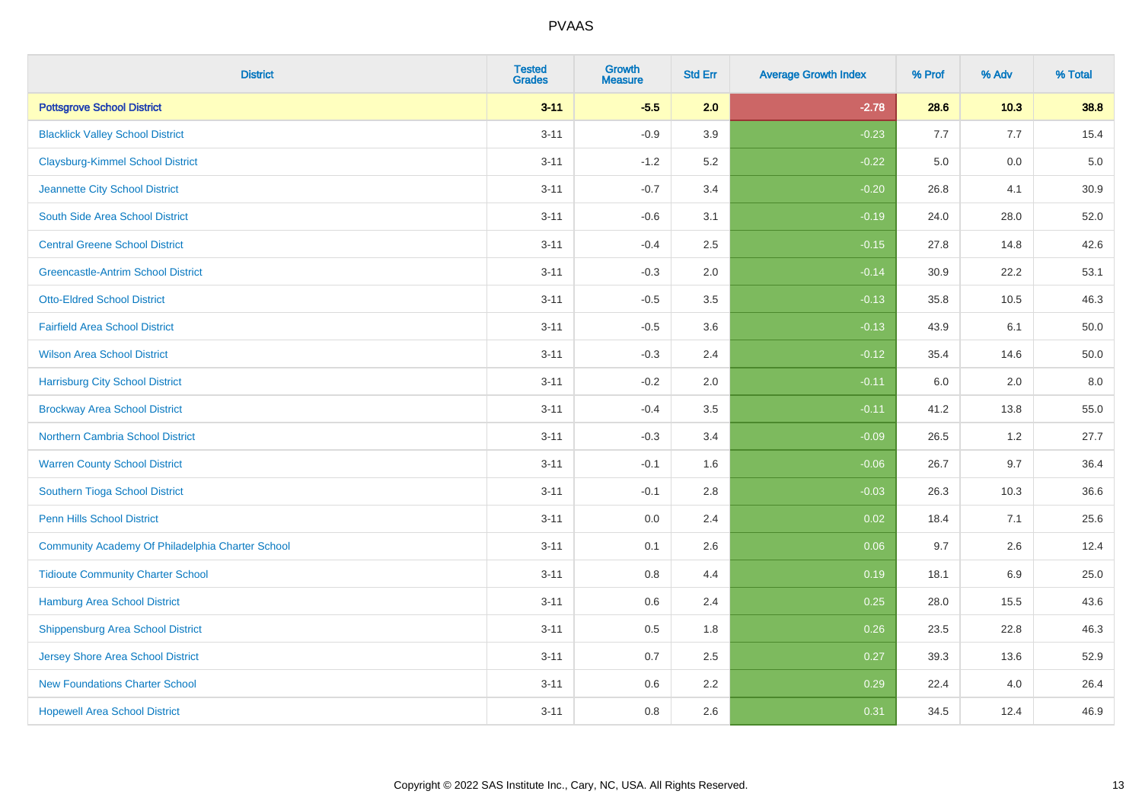| <b>District</b>                                  | <b>Tested</b><br><b>Grades</b> | <b>Growth</b><br><b>Measure</b> | <b>Std Err</b> | <b>Average Growth Index</b> | % Prof | % Adv  | % Total |
|--------------------------------------------------|--------------------------------|---------------------------------|----------------|-----------------------------|--------|--------|---------|
| <b>Pottsgrove School District</b>                | $3 - 11$                       | $-5.5$                          | 2.0            | $-2.78$                     | 28.6   | $10.3$ | 38.8    |
| <b>Blacklick Valley School District</b>          | $3 - 11$                       | $-0.9$                          | 3.9            | $-0.23$                     | 7.7    | 7.7    | 15.4    |
| <b>Claysburg-Kimmel School District</b>          | $3 - 11$                       | $-1.2$                          | 5.2            | $-0.22$                     | 5.0    | 0.0    | $5.0$   |
| Jeannette City School District                   | $3 - 11$                       | $-0.7$                          | 3.4            | $-0.20$                     | 26.8   | 4.1    | 30.9    |
| South Side Area School District                  | $3 - 11$                       | $-0.6$                          | 3.1            | $-0.19$                     | 24.0   | 28.0   | 52.0    |
| <b>Central Greene School District</b>            | $3 - 11$                       | $-0.4$                          | 2.5            | $-0.15$                     | 27.8   | 14.8   | 42.6    |
| <b>Greencastle-Antrim School District</b>        | $3 - 11$                       | $-0.3$                          | 2.0            | $-0.14$                     | 30.9   | 22.2   | 53.1    |
| <b>Otto-Eldred School District</b>               | $3 - 11$                       | $-0.5$                          | 3.5            | $-0.13$                     | 35.8   | 10.5   | 46.3    |
| <b>Fairfield Area School District</b>            | $3 - 11$                       | $-0.5$                          | 3.6            | $-0.13$                     | 43.9   | 6.1    | 50.0    |
| <b>Wilson Area School District</b>               | $3 - 11$                       | $-0.3$                          | 2.4            | $-0.12$                     | 35.4   | 14.6   | 50.0    |
| <b>Harrisburg City School District</b>           | $3 - 11$                       | $-0.2$                          | 2.0            | $-0.11$                     | 6.0    | 2.0    | 8.0     |
| <b>Brockway Area School District</b>             | $3 - 11$                       | $-0.4$                          | 3.5            | $-0.11$                     | 41.2   | 13.8   | 55.0    |
| <b>Northern Cambria School District</b>          | $3 - 11$                       | $-0.3$                          | 3.4            | $-0.09$                     | 26.5   | 1.2    | 27.7    |
| <b>Warren County School District</b>             | $3 - 11$                       | $-0.1$                          | 1.6            | $-0.06$                     | 26.7   | 9.7    | 36.4    |
| Southern Tioga School District                   | $3 - 11$                       | $-0.1$                          | 2.8            | $-0.03$                     | 26.3   | 10.3   | 36.6    |
| <b>Penn Hills School District</b>                | $3 - 11$                       | 0.0                             | 2.4            | 0.02                        | 18.4   | 7.1    | 25.6    |
| Community Academy Of Philadelphia Charter School | $3 - 11$                       | 0.1                             | 2.6            | 0.06                        | 9.7    | 2.6    | 12.4    |
| <b>Tidioute Community Charter School</b>         | $3 - 11$                       | 0.8                             | 4.4            | 0.19                        | 18.1   | 6.9    | 25.0    |
| <b>Hamburg Area School District</b>              | $3 - 11$                       | $0.6\,$                         | 2.4            | 0.25                        | 28.0   | 15.5   | 43.6    |
| <b>Shippensburg Area School District</b>         | $3 - 11$                       | $0.5\,$                         | 1.8            | 0.26                        | 23.5   | 22.8   | 46.3    |
| <b>Jersey Shore Area School District</b>         | $3 - 11$                       | 0.7                             | 2.5            | 0.27                        | 39.3   | 13.6   | 52.9    |
| <b>New Foundations Charter School</b>            | $3 - 11$                       | 0.6                             | 2.2            | 0.29                        | 22.4   | 4.0    | 26.4    |
| <b>Hopewell Area School District</b>             | $3 - 11$                       | 0.8                             | 2.6            | 0.31                        | 34.5   | 12.4   | 46.9    |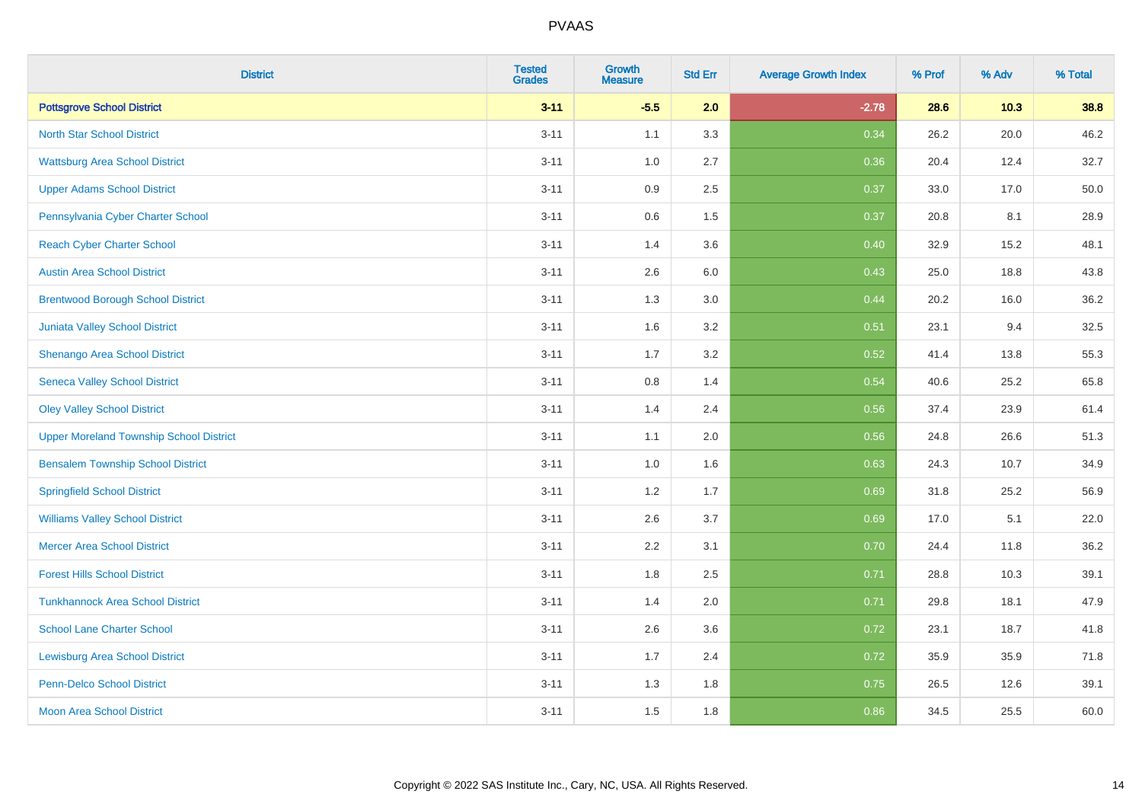| <b>District</b>                                | <b>Tested</b><br><b>Grades</b> | <b>Growth</b><br><b>Measure</b> | <b>Std Err</b> | <b>Average Growth Index</b> | % Prof | % Adv | % Total |
|------------------------------------------------|--------------------------------|---------------------------------|----------------|-----------------------------|--------|-------|---------|
| <b>Pottsgrove School District</b>              | $3 - 11$                       | $-5.5$                          | 2.0            | $-2.78$                     | 28.6   | 10.3  | 38.8    |
| <b>North Star School District</b>              | $3 - 11$                       | 1.1                             | 3.3            | 0.34                        | 26.2   | 20.0  | 46.2    |
| <b>Wattsburg Area School District</b>          | $3 - 11$                       | 1.0                             | 2.7            | 0.36                        | 20.4   | 12.4  | 32.7    |
| <b>Upper Adams School District</b>             | $3 - 11$                       | 0.9                             | 2.5            | 0.37                        | 33.0   | 17.0  | 50.0    |
| Pennsylvania Cyber Charter School              | $3 - 11$                       | 0.6                             | 1.5            | 0.37                        | 20.8   | 8.1   | 28.9    |
| <b>Reach Cyber Charter School</b>              | $3 - 11$                       | 1.4                             | 3.6            | 0.40                        | 32.9   | 15.2  | 48.1    |
| <b>Austin Area School District</b>             | $3 - 11$                       | 2.6                             | 6.0            | 0.43                        | 25.0   | 18.8  | 43.8    |
| <b>Brentwood Borough School District</b>       | $3 - 11$                       | 1.3                             | 3.0            | 0.44                        | 20.2   | 16.0  | 36.2    |
| Juniata Valley School District                 | $3 - 11$                       | 1.6                             | 3.2            | 0.51                        | 23.1   | 9.4   | 32.5    |
| Shenango Area School District                  | $3 - 11$                       | 1.7                             | 3.2            | 0.52                        | 41.4   | 13.8  | 55.3    |
| <b>Seneca Valley School District</b>           | $3 - 11$                       | 0.8                             | 1.4            | 0.54                        | 40.6   | 25.2  | 65.8    |
| <b>Oley Valley School District</b>             | $3 - 11$                       | 1.4                             | 2.4            | 0.56                        | 37.4   | 23.9  | 61.4    |
| <b>Upper Moreland Township School District</b> | $3 - 11$                       | 1.1                             | 2.0            | 0.56                        | 24.8   | 26.6  | 51.3    |
| <b>Bensalem Township School District</b>       | $3 - 11$                       | 1.0                             | 1.6            | 0.63                        | 24.3   | 10.7  | 34.9    |
| <b>Springfield School District</b>             | $3 - 11$                       | 1.2                             | 1.7            | 0.69                        | 31.8   | 25.2  | 56.9    |
| <b>Williams Valley School District</b>         | $3 - 11$                       | 2.6                             | 3.7            | 0.69                        | 17.0   | 5.1   | 22.0    |
| <b>Mercer Area School District</b>             | $3 - 11$                       | $2.2\,$                         | 3.1            | 0.70                        | 24.4   | 11.8  | 36.2    |
| <b>Forest Hills School District</b>            | $3 - 11$                       | 1.8                             | 2.5            | 0.71                        | 28.8   | 10.3  | 39.1    |
| <b>Tunkhannock Area School District</b>        | $3 - 11$                       | 1.4                             | 2.0            | 0.71                        | 29.8   | 18.1  | 47.9    |
| <b>School Lane Charter School</b>              | $3 - 11$                       | 2.6                             | 3.6            | 0.72                        | 23.1   | 18.7  | 41.8    |
| <b>Lewisburg Area School District</b>          | $3 - 11$                       | 1.7                             | 2.4            | 0.72                        | 35.9   | 35.9  | 71.8    |
| <b>Penn-Delco School District</b>              | $3 - 11$                       | 1.3                             | 1.8            | 0.75                        | 26.5   | 12.6  | 39.1    |
| <b>Moon Area School District</b>               | $3 - 11$                       | 1.5                             | 1.8            | 0.86                        | 34.5   | 25.5  | 60.0    |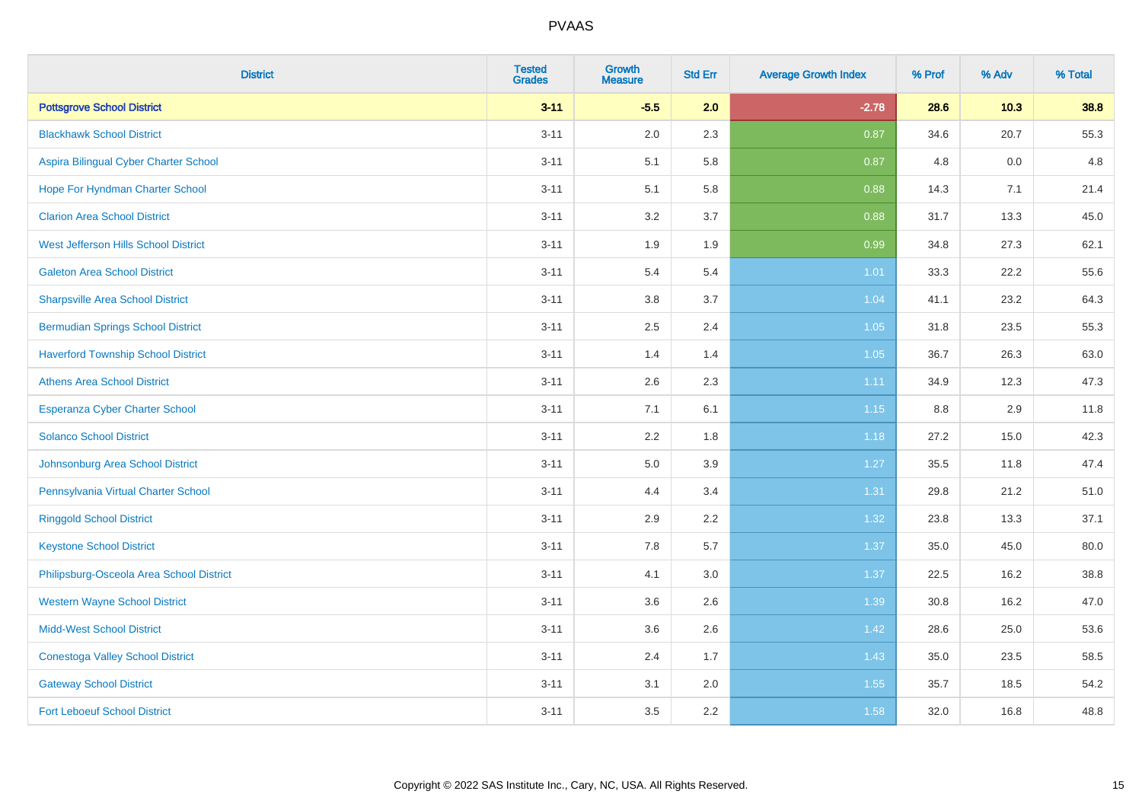| <b>District</b>                           | <b>Tested</b><br><b>Grades</b> | <b>Growth</b><br><b>Measure</b> | <b>Std Err</b> | <b>Average Growth Index</b> | % Prof | % Adv | % Total |
|-------------------------------------------|--------------------------------|---------------------------------|----------------|-----------------------------|--------|-------|---------|
| <b>Pottsgrove School District</b>         | $3 - 11$                       | $-5.5$                          | 2.0            | $-2.78$                     | 28.6   | 10.3  | 38.8    |
| <b>Blackhawk School District</b>          | $3 - 11$                       | 2.0                             | 2.3            | 0.87                        | 34.6   | 20.7  | 55.3    |
| Aspira Bilingual Cyber Charter School     | $3 - 11$                       | 5.1                             | 5.8            | 0.87                        | 4.8    | 0.0   | 4.8     |
| Hope For Hyndman Charter School           | $3 - 11$                       | 5.1                             | 5.8            | 0.88                        | 14.3   | 7.1   | 21.4    |
| <b>Clarion Area School District</b>       | $3 - 11$                       | 3.2                             | 3.7            | 0.88                        | 31.7   | 13.3  | 45.0    |
| West Jefferson Hills School District      | $3 - 11$                       | 1.9                             | 1.9            | 0.99                        | 34.8   | 27.3  | 62.1    |
| <b>Galeton Area School District</b>       | $3 - 11$                       | 5.4                             | 5.4            | $1.01$                      | 33.3   | 22.2  | 55.6    |
| <b>Sharpsville Area School District</b>   | $3 - 11$                       | 3.8                             | 3.7            | 1.04                        | 41.1   | 23.2  | 64.3    |
| <b>Bermudian Springs School District</b>  | $3 - 11$                       | 2.5                             | 2.4            | 1.05                        | 31.8   | 23.5  | 55.3    |
| <b>Haverford Township School District</b> | $3 - 11$                       | 1.4                             | 1.4            | 1.05                        | 36.7   | 26.3  | 63.0    |
| <b>Athens Area School District</b>        | $3 - 11$                       | 2.6                             | 2.3            | 1.11                        | 34.9   | 12.3  | 47.3    |
| <b>Esperanza Cyber Charter School</b>     | $3 - 11$                       | 7.1                             | 6.1            | 1.15                        | 8.8    | 2.9   | 11.8    |
| <b>Solanco School District</b>            | $3 - 11$                       | 2.2                             | 1.8            | 1.18                        | 27.2   | 15.0  | 42.3    |
| Johnsonburg Area School District          | $3 - 11$                       | $5.0\,$                         | 3.9            | 1.27                        | 35.5   | 11.8  | 47.4    |
| Pennsylvania Virtual Charter School       | $3 - 11$                       | 4.4                             | 3.4            | 1.31                        | 29.8   | 21.2  | 51.0    |
| <b>Ringgold School District</b>           | $3 - 11$                       | 2.9                             | 2.2            | 1.32                        | 23.8   | 13.3  | 37.1    |
| <b>Keystone School District</b>           | $3 - 11$                       | 7.8                             | 5.7            | 1.37                        | 35.0   | 45.0  | 80.0    |
| Philipsburg-Osceola Area School District  | $3 - 11$                       | 4.1                             | 3.0            | 1.37                        | 22.5   | 16.2  | 38.8    |
| <b>Western Wayne School District</b>      | $3 - 11$                       | 3.6                             | 2.6            | 1.39                        | 30.8   | 16.2  | 47.0    |
| <b>Midd-West School District</b>          | $3 - 11$                       | 3.6                             | 2.6            | 1.42                        | 28.6   | 25.0  | 53.6    |
| <b>Conestoga Valley School District</b>   | $3 - 11$                       | 2.4                             | 1.7            | 1.43                        | 35.0   | 23.5  | 58.5    |
| <b>Gateway School District</b>            | $3 - 11$                       | 3.1                             | 2.0            | 1.55                        | 35.7   | 18.5  | 54.2    |
| <b>Fort Leboeuf School District</b>       | $3 - 11$                       | 3.5                             | 2.2            | 1.58                        | 32.0   | 16.8  | 48.8    |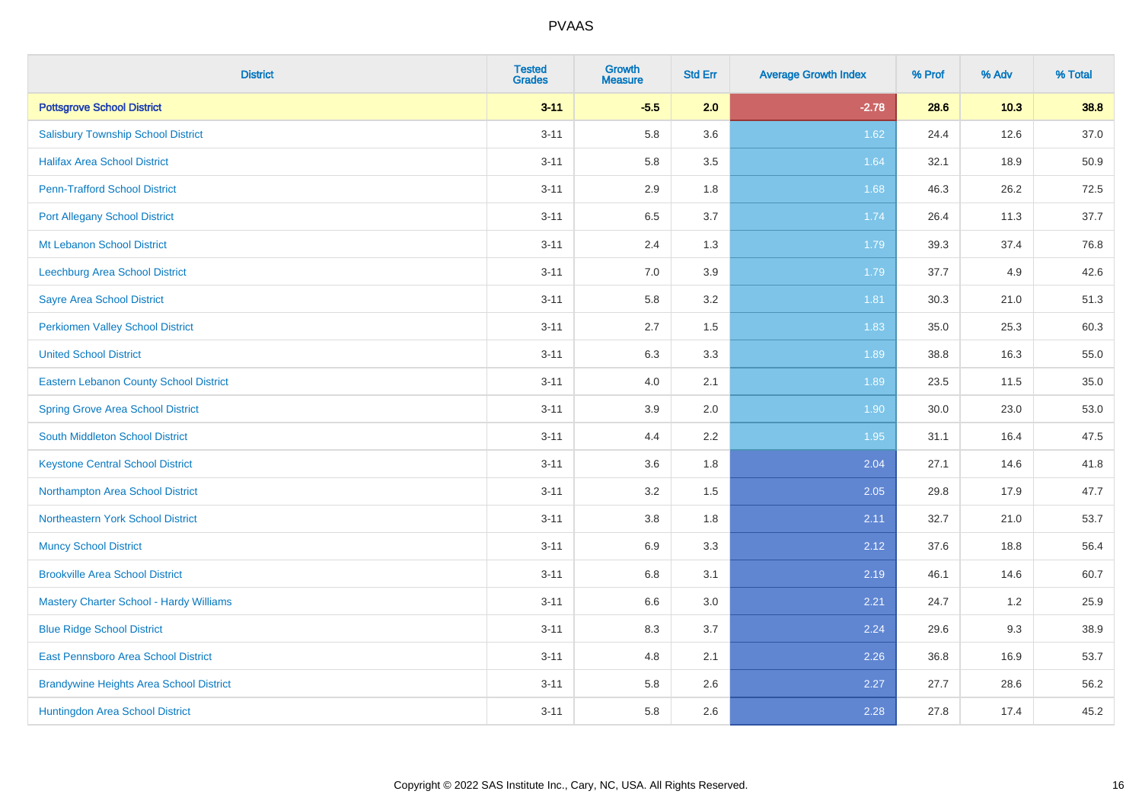| <b>District</b>                                | <b>Tested</b><br><b>Grades</b> | <b>Growth</b><br><b>Measure</b> | <b>Std Err</b> | <b>Average Growth Index</b> | % Prof | % Adv | % Total |
|------------------------------------------------|--------------------------------|---------------------------------|----------------|-----------------------------|--------|-------|---------|
| <b>Pottsgrove School District</b>              | $3 - 11$                       | $-5.5$                          | 2.0            | $-2.78$                     | 28.6   | 10.3  | 38.8    |
| <b>Salisbury Township School District</b>      | $3 - 11$                       | 5.8                             | 3.6            | 1.62                        | 24.4   | 12.6  | 37.0    |
| <b>Halifax Area School District</b>            | $3 - 11$                       | 5.8                             | 3.5            | 1.64                        | 32.1   | 18.9  | 50.9    |
| <b>Penn-Trafford School District</b>           | $3 - 11$                       | 2.9                             | 1.8            | 1.68                        | 46.3   | 26.2  | 72.5    |
| <b>Port Allegany School District</b>           | $3 - 11$                       | 6.5                             | 3.7            | 1.74                        | 26.4   | 11.3  | 37.7    |
| Mt Lebanon School District                     | $3 - 11$                       | 2.4                             | 1.3            | 1.79                        | 39.3   | 37.4  | 76.8    |
| Leechburg Area School District                 | $3 - 11$                       | 7.0                             | 3.9            | 1.79                        | 37.7   | 4.9   | 42.6    |
| <b>Sayre Area School District</b>              | $3 - 11$                       | 5.8                             | 3.2            | 1.81                        | 30.3   | 21.0  | 51.3    |
| Perkiomen Valley School District               | $3 - 11$                       | 2.7                             | 1.5            | 1.83                        | 35.0   | 25.3  | 60.3    |
| <b>United School District</b>                  | $3 - 11$                       | 6.3                             | 3.3            | 1.89                        | 38.8   | 16.3  | 55.0    |
| Eastern Lebanon County School District         | $3 - 11$                       | 4.0                             | 2.1            | 1.89                        | 23.5   | 11.5  | 35.0    |
| <b>Spring Grove Area School District</b>       | $3 - 11$                       | 3.9                             | 2.0            | 1.90                        | 30.0   | 23.0  | 53.0    |
| South Middleton School District                | $3 - 11$                       | 4.4                             | 2.2            | 1.95                        | 31.1   | 16.4  | 47.5    |
| <b>Keystone Central School District</b>        | $3 - 11$                       | 3.6                             | 1.8            | 2.04                        | 27.1   | 14.6  | 41.8    |
| Northampton Area School District               | $3 - 11$                       | 3.2                             | 1.5            | 2.05                        | 29.8   | 17.9  | 47.7    |
| Northeastern York School District              | $3 - 11$                       | $3.8\,$                         | 1.8            | 2.11                        | 32.7   | 21.0  | 53.7    |
| <b>Muncy School District</b>                   | $3 - 11$                       | 6.9                             | 3.3            | 2.12                        | 37.6   | 18.8  | 56.4    |
| <b>Brookville Area School District</b>         | $3 - 11$                       | 6.8                             | 3.1            | 2.19                        | 46.1   | 14.6  | 60.7    |
| <b>Mastery Charter School - Hardy Williams</b> | $3 - 11$                       | $6.6\,$                         | 3.0            | 2.21                        | 24.7   | 1.2   | 25.9    |
| <b>Blue Ridge School District</b>              | $3 - 11$                       | 8.3                             | 3.7            | 2.24                        | 29.6   | 9.3   | 38.9    |
| East Pennsboro Area School District            | $3 - 11$                       | 4.8                             | 2.1            | 2.26                        | 36.8   | 16.9  | 53.7    |
| <b>Brandywine Heights Area School District</b> | $3 - 11$                       | 5.8                             | 2.6            | 2.27                        | 27.7   | 28.6  | 56.2    |
| Huntingdon Area School District                | $3 - 11$                       | 5.8                             | 2.6            | 2.28                        | 27.8   | 17.4  | 45.2    |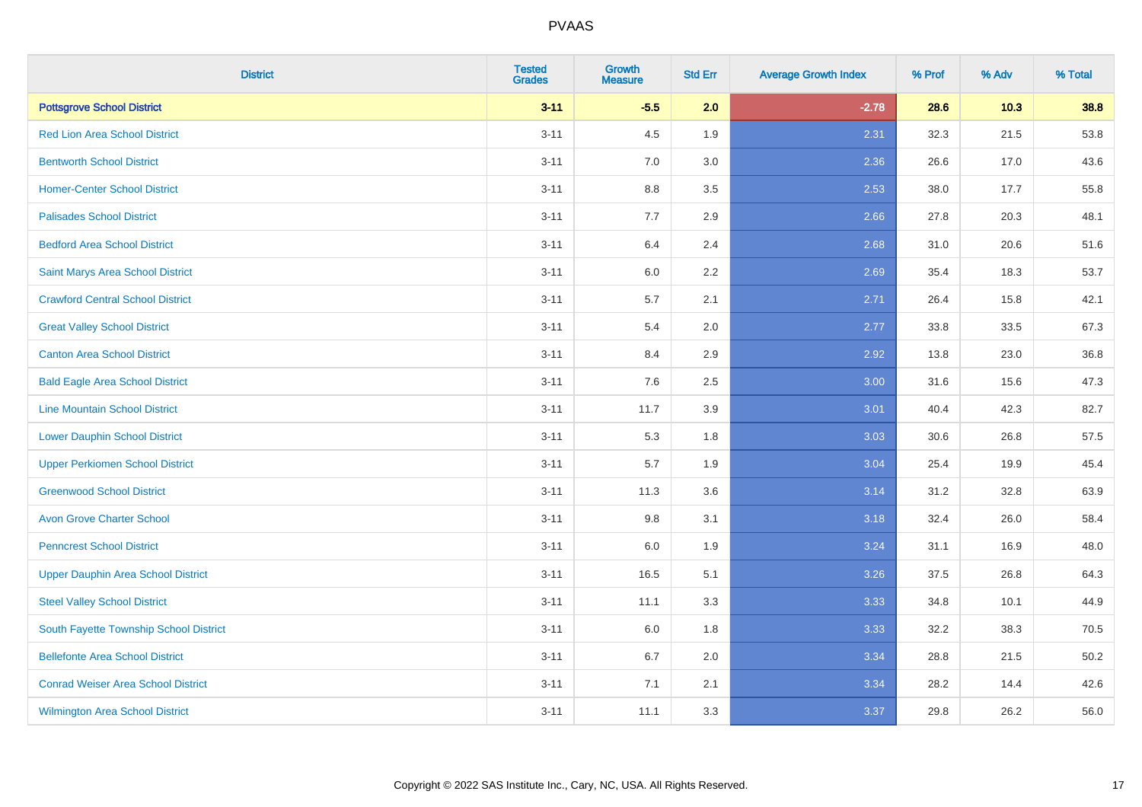| <b>District</b>                           | <b>Tested</b><br><b>Grades</b> | <b>Growth</b><br><b>Measure</b> | <b>Std Err</b> | <b>Average Growth Index</b> | % Prof | % Adv | % Total |
|-------------------------------------------|--------------------------------|---------------------------------|----------------|-----------------------------|--------|-------|---------|
| <b>Pottsgrove School District</b>         | $3 - 11$                       | $-5.5$                          | 2.0            | $-2.78$                     | 28.6   | 10.3  | 38.8    |
| <b>Red Lion Area School District</b>      | $3 - 11$                       | 4.5                             | 1.9            | 2.31                        | 32.3   | 21.5  | 53.8    |
| <b>Bentworth School District</b>          | $3 - 11$                       | 7.0                             | 3.0            | 2.36                        | 26.6   | 17.0  | 43.6    |
| <b>Homer-Center School District</b>       | $3 - 11$                       | $8.8\,$                         | 3.5            | 2.53                        | 38.0   | 17.7  | 55.8    |
| <b>Palisades School District</b>          | $3 - 11$                       | 7.7                             | 2.9            | 2.66                        | 27.8   | 20.3  | 48.1    |
| <b>Bedford Area School District</b>       | $3 - 11$                       | 6.4                             | 2.4            | 2.68                        | 31.0   | 20.6  | 51.6    |
| Saint Marys Area School District          | $3 - 11$                       | 6.0                             | 2.2            | 2.69                        | 35.4   | 18.3  | 53.7    |
| <b>Crawford Central School District</b>   | $3 - 11$                       | 5.7                             | 2.1            | 2.71                        | 26.4   | 15.8  | 42.1    |
| <b>Great Valley School District</b>       | $3 - 11$                       | 5.4                             | 2.0            | 2.77                        | 33.8   | 33.5  | 67.3    |
| <b>Canton Area School District</b>        | $3 - 11$                       | 8.4                             | 2.9            | 2.92                        | 13.8   | 23.0  | 36.8    |
| <b>Bald Eagle Area School District</b>    | $3 - 11$                       | 7.6                             | 2.5            | 3.00                        | 31.6   | 15.6  | 47.3    |
| <b>Line Mountain School District</b>      | $3 - 11$                       | 11.7                            | 3.9            | 3.01                        | 40.4   | 42.3  | 82.7    |
| <b>Lower Dauphin School District</b>      | $3 - 11$                       | 5.3                             | 1.8            | 3.03                        | 30.6   | 26.8  | 57.5    |
| <b>Upper Perkiomen School District</b>    | $3 - 11$                       | 5.7                             | 1.9            | 3.04                        | 25.4   | 19.9  | 45.4    |
| <b>Greenwood School District</b>          | $3 - 11$                       | 11.3                            | 3.6            | 3.14                        | 31.2   | 32.8  | 63.9    |
| <b>Avon Grove Charter School</b>          | $3 - 11$                       | 9.8                             | 3.1            | 3.18                        | 32.4   | 26.0  | 58.4    |
| <b>Penncrest School District</b>          | $3 - 11$                       | 6.0                             | 1.9            | 3.24                        | 31.1   | 16.9  | 48.0    |
| <b>Upper Dauphin Area School District</b> | $3 - 11$                       | 16.5                            | 5.1            | 3.26                        | 37.5   | 26.8  | 64.3    |
| <b>Steel Valley School District</b>       | $3 - 11$                       | 11.1                            | 3.3            | 3.33                        | 34.8   | 10.1  | 44.9    |
| South Fayette Township School District    | $3 - 11$                       | 6.0                             | 1.8            | 3.33                        | 32.2   | 38.3  | 70.5    |
| <b>Bellefonte Area School District</b>    | $3 - 11$                       | 6.7                             | 2.0            | 3.34                        | 28.8   | 21.5  | 50.2    |
| <b>Conrad Weiser Area School District</b> | $3 - 11$                       | 7.1                             | 2.1            | 3.34                        | 28.2   | 14.4  | 42.6    |
| <b>Wilmington Area School District</b>    | $3 - 11$                       | 11.1                            | 3.3            | 3.37                        | 29.8   | 26.2  | 56.0    |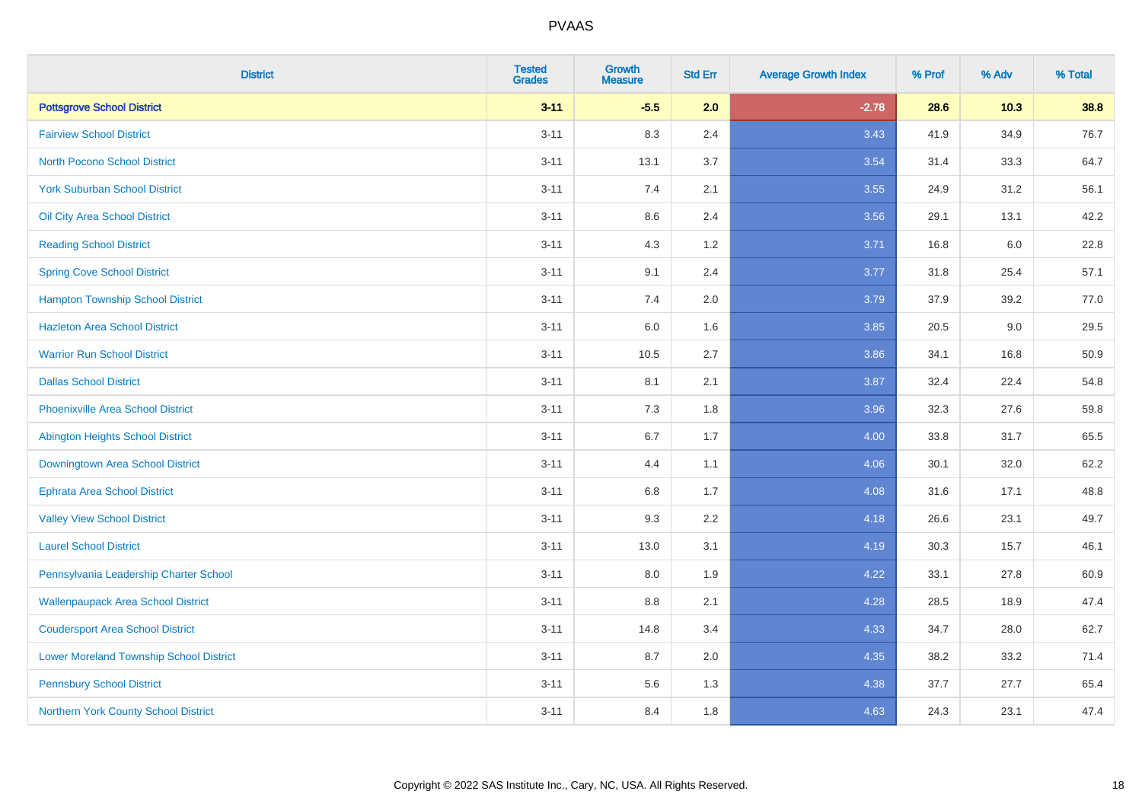| <b>District</b>                                | <b>Tested</b><br><b>Grades</b> | Growth<br><b>Measure</b> | <b>Std Err</b> | <b>Average Growth Index</b> | % Prof | % Adv  | % Total |
|------------------------------------------------|--------------------------------|--------------------------|----------------|-----------------------------|--------|--------|---------|
| <b>Pottsgrove School District</b>              | $3 - 11$                       | $-5.5$                   | 2.0            | $-2.78$                     | 28.6   | $10.3$ | 38.8    |
| <b>Fairview School District</b>                | $3 - 11$                       | 8.3                      | 2.4            | 3.43                        | 41.9   | 34.9   | 76.7    |
| <b>North Pocono School District</b>            | $3 - 11$                       | 13.1                     | 3.7            | 3.54                        | 31.4   | 33.3   | 64.7    |
| <b>York Suburban School District</b>           | $3 - 11$                       | $7.4$                    | 2.1            | 3.55                        | 24.9   | 31.2   | 56.1    |
| Oil City Area School District                  | $3 - 11$                       | 8.6                      | 2.4            | 3.56                        | 29.1   | 13.1   | 42.2    |
| <b>Reading School District</b>                 | $3 - 11$                       | 4.3                      | 1.2            | 3.71                        | 16.8   | 6.0    | 22.8    |
| <b>Spring Cove School District</b>             | $3 - 11$                       | 9.1                      | 2.4            | 3.77                        | 31.8   | 25.4   | 57.1    |
| <b>Hampton Township School District</b>        | $3 - 11$                       | 7.4                      | 2.0            | 3.79                        | 37.9   | 39.2   | 77.0    |
| <b>Hazleton Area School District</b>           | $3 - 11$                       | 6.0                      | 1.6            | 3.85                        | 20.5   | 9.0    | 29.5    |
| <b>Warrior Run School District</b>             | $3 - 11$                       | 10.5                     | 2.7            | 3.86                        | 34.1   | 16.8   | 50.9    |
| <b>Dallas School District</b>                  | $3 - 11$                       | 8.1                      | 2.1            | 3.87                        | 32.4   | 22.4   | 54.8    |
| <b>Phoenixville Area School District</b>       | $3 - 11$                       | 7.3                      | 1.8            | 3.96                        | 32.3   | 27.6   | 59.8    |
| <b>Abington Heights School District</b>        | $3 - 11$                       | 6.7                      | 1.7            | 4.00                        | 33.8   | 31.7   | 65.5    |
| Downingtown Area School District               | $3 - 11$                       | 4.4                      | 1.1            | 4.06                        | 30.1   | 32.0   | 62.2    |
| <b>Ephrata Area School District</b>            | $3 - 11$                       | 6.8                      | 1.7            | 4.08                        | 31.6   | 17.1   | 48.8    |
| <b>Valley View School District</b>             | $3 - 11$                       | 9.3                      | 2.2            | 4.18                        | 26.6   | 23.1   | 49.7    |
| <b>Laurel School District</b>                  | $3 - 11$                       | 13.0                     | 3.1            | 4.19                        | 30.3   | 15.7   | 46.1    |
| Pennsylvania Leadership Charter School         | $3 - 11$                       | 8.0                      | 1.9            | 4.22                        | 33.1   | 27.8   | 60.9    |
| <b>Wallenpaupack Area School District</b>      | $3 - 11$                       | 8.8                      | 2.1            | 4.28                        | 28.5   | 18.9   | 47.4    |
| <b>Coudersport Area School District</b>        | $3 - 11$                       | 14.8                     | 3.4            | 4.33                        | 34.7   | 28.0   | 62.7    |
| <b>Lower Moreland Township School District</b> | $3 - 11$                       | 8.7                      | 2.0            | 4.35                        | 38.2   | 33.2   | 71.4    |
| <b>Pennsbury School District</b>               | $3 - 11$                       | 5.6                      | 1.3            | 4.38                        | 37.7   | 27.7   | 65.4    |
| Northern York County School District           | $3 - 11$                       | 8.4                      | 1.8            | 4.63                        | 24.3   | 23.1   | 47.4    |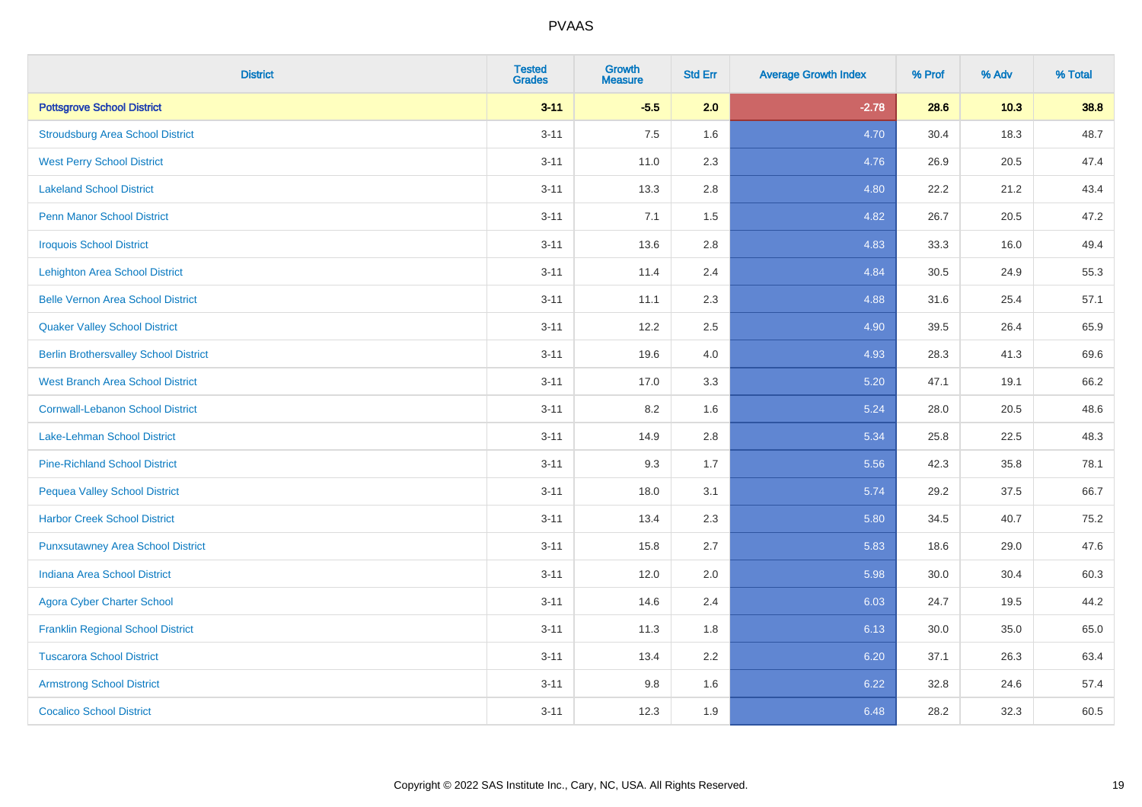| <b>District</b>                              | <b>Tested</b><br><b>Grades</b> | <b>Growth</b><br><b>Measure</b> | <b>Std Err</b> | <b>Average Growth Index</b> | % Prof | % Adv | % Total |
|----------------------------------------------|--------------------------------|---------------------------------|----------------|-----------------------------|--------|-------|---------|
| <b>Pottsgrove School District</b>            | $3 - 11$                       | $-5.5$                          | 2.0            | $-2.78$                     | 28.6   | 10.3  | 38.8    |
| <b>Stroudsburg Area School District</b>      | $3 - 11$                       | 7.5                             | 1.6            | 4.70                        | 30.4   | 18.3  | 48.7    |
| <b>West Perry School District</b>            | $3 - 11$                       | 11.0                            | 2.3            | 4.76                        | 26.9   | 20.5  | 47.4    |
| <b>Lakeland School District</b>              | $3 - 11$                       | 13.3                            | 2.8            | 4.80                        | 22.2   | 21.2  | 43.4    |
| <b>Penn Manor School District</b>            | $3 - 11$                       | 7.1                             | 1.5            | 4.82                        | 26.7   | 20.5  | 47.2    |
| <b>Iroquois School District</b>              | $3 - 11$                       | 13.6                            | 2.8            | 4.83                        | 33.3   | 16.0  | 49.4    |
| <b>Lehighton Area School District</b>        | $3 - 11$                       | 11.4                            | 2.4            | 4.84                        | 30.5   | 24.9  | 55.3    |
| <b>Belle Vernon Area School District</b>     | $3 - 11$                       | 11.1                            | 2.3            | 4.88                        | 31.6   | 25.4  | 57.1    |
| <b>Quaker Valley School District</b>         | $3 - 11$                       | 12.2                            | 2.5            | 4.90                        | 39.5   | 26.4  | 65.9    |
| <b>Berlin Brothersvalley School District</b> | $3 - 11$                       | 19.6                            | 4.0            | 4.93                        | 28.3   | 41.3  | 69.6    |
| <b>West Branch Area School District</b>      | $3 - 11$                       | 17.0                            | 3.3            | 5.20                        | 47.1   | 19.1  | 66.2    |
| <b>Cornwall-Lebanon School District</b>      | $3 - 11$                       | 8.2                             | 1.6            | 5.24                        | 28.0   | 20.5  | 48.6    |
| Lake-Lehman School District                  | $3 - 11$                       | 14.9                            | 2.8            | 5.34                        | 25.8   | 22.5  | 48.3    |
| <b>Pine-Richland School District</b>         | $3 - 11$                       | 9.3                             | 1.7            | 5.56                        | 42.3   | 35.8  | 78.1    |
| <b>Pequea Valley School District</b>         | $3 - 11$                       | 18.0                            | 3.1            | 5.74                        | 29.2   | 37.5  | 66.7    |
| <b>Harbor Creek School District</b>          | $3 - 11$                       | 13.4                            | 2.3            | 5.80                        | 34.5   | 40.7  | 75.2    |
| <b>Punxsutawney Area School District</b>     | $3 - 11$                       | 15.8                            | 2.7            | 5.83                        | 18.6   | 29.0  | 47.6    |
| <b>Indiana Area School District</b>          | $3 - 11$                       | 12.0                            | 2.0            | 5.98                        | 30.0   | 30.4  | 60.3    |
| <b>Agora Cyber Charter School</b>            | $3 - 11$                       | 14.6                            | 2.4            | 6.03                        | 24.7   | 19.5  | 44.2    |
| <b>Franklin Regional School District</b>     | $3 - 11$                       | 11.3                            | 1.8            | 6.13                        | 30.0   | 35.0  | 65.0    |
| <b>Tuscarora School District</b>             | $3 - 11$                       | 13.4                            | 2.2            | 6.20                        | 37.1   | 26.3  | 63.4    |
| <b>Armstrong School District</b>             | $3 - 11$                       | $9.8\,$                         | 1.6            | 6.22                        | 32.8   | 24.6  | 57.4    |
| <b>Cocalico School District</b>              | $3 - 11$                       | 12.3                            | 1.9            | 6.48                        | 28.2   | 32.3  | 60.5    |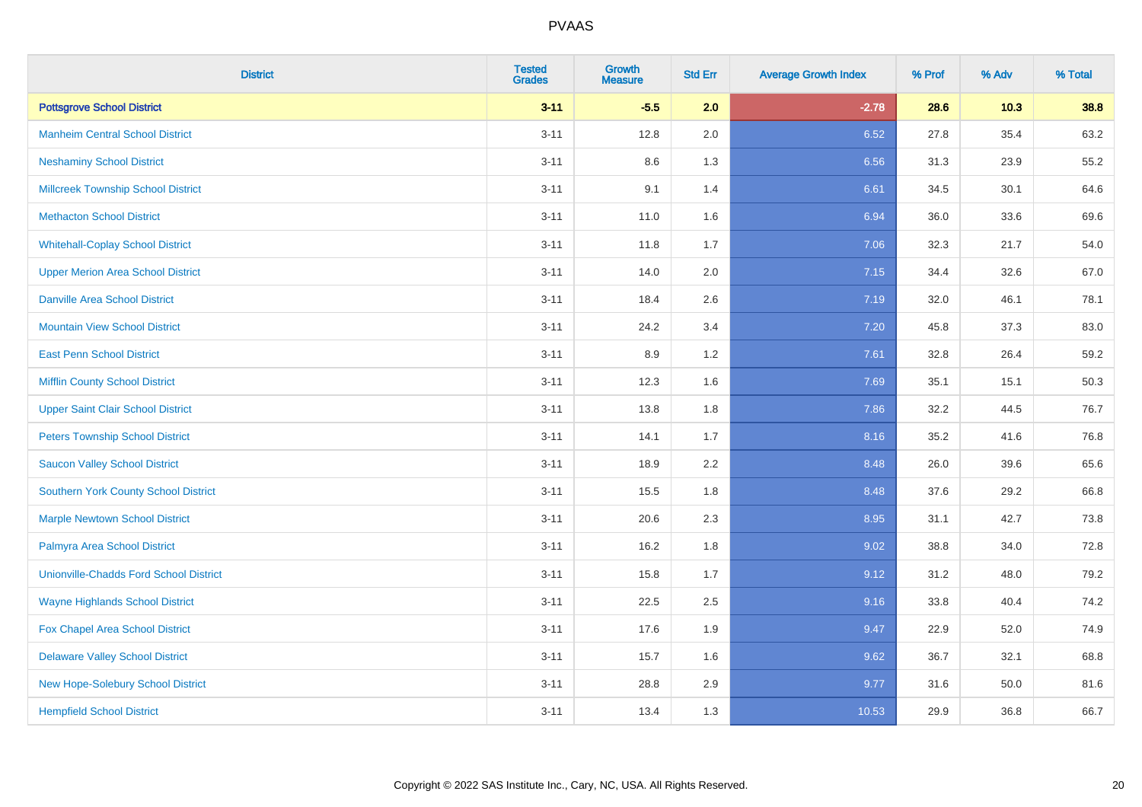| <b>District</b>                               | <b>Tested</b><br><b>Grades</b> | Growth<br><b>Measure</b> | <b>Std Err</b> | <b>Average Growth Index</b> | % Prof | % Adv  | % Total |
|-----------------------------------------------|--------------------------------|--------------------------|----------------|-----------------------------|--------|--------|---------|
| <b>Pottsgrove School District</b>             | $3 - 11$                       | $-5.5$                   | 2.0            | $-2.78$                     | 28.6   | $10.3$ | 38.8    |
| <b>Manheim Central School District</b>        | $3 - 11$                       | 12.8                     | 2.0            | 6.52                        | 27.8   | 35.4   | 63.2    |
| <b>Neshaminy School District</b>              | $3 - 11$                       | 8.6                      | 1.3            | 6.56                        | 31.3   | 23.9   | 55.2    |
| <b>Millcreek Township School District</b>     | $3 - 11$                       | 9.1                      | 1.4            | 6.61                        | 34.5   | 30.1   | 64.6    |
| <b>Methacton School District</b>              | $3 - 11$                       | 11.0                     | 1.6            | 6.94                        | 36.0   | 33.6   | 69.6    |
| <b>Whitehall-Coplay School District</b>       | $3 - 11$                       | 11.8                     | 1.7            | 7.06                        | 32.3   | 21.7   | 54.0    |
| <b>Upper Merion Area School District</b>      | $3 - 11$                       | 14.0                     | 2.0            | 7.15                        | 34.4   | 32.6   | 67.0    |
| <b>Danville Area School District</b>          | $3 - 11$                       | 18.4                     | 2.6            | 7.19                        | 32.0   | 46.1   | 78.1    |
| <b>Mountain View School District</b>          | $3 - 11$                       | 24.2                     | 3.4            | 7.20                        | 45.8   | 37.3   | 83.0    |
| <b>East Penn School District</b>              | $3 - 11$                       | 8.9                      | 1.2            | 7.61                        | 32.8   | 26.4   | 59.2    |
| <b>Mifflin County School District</b>         | $3 - 11$                       | 12.3                     | 1.6            | 7.69                        | 35.1   | 15.1   | 50.3    |
| <b>Upper Saint Clair School District</b>      | $3 - 11$                       | 13.8                     | 1.8            | 7.86                        | 32.2   | 44.5   | 76.7    |
| <b>Peters Township School District</b>        | $3 - 11$                       | 14.1                     | 1.7            | 8.16                        | 35.2   | 41.6   | 76.8    |
| <b>Saucon Valley School District</b>          | $3 - 11$                       | 18.9                     | 2.2            | 8.48                        | 26.0   | 39.6   | 65.6    |
| <b>Southern York County School District</b>   | $3 - 11$                       | 15.5                     | 1.8            | 8.48                        | 37.6   | 29.2   | 66.8    |
| <b>Marple Newtown School District</b>         | $3 - 11$                       | 20.6                     | 2.3            | 8.95                        | 31.1   | 42.7   | 73.8    |
| Palmyra Area School District                  | $3 - 11$                       | 16.2                     | 1.8            | 9.02                        | 38.8   | 34.0   | 72.8    |
| <b>Unionville-Chadds Ford School District</b> | $3 - 11$                       | 15.8                     | 1.7            | 9.12                        | 31.2   | 48.0   | 79.2    |
| <b>Wayne Highlands School District</b>        | $3 - 11$                       | 22.5                     | 2.5            | 9.16                        | 33.8   | 40.4   | 74.2    |
| Fox Chapel Area School District               | $3 - 11$                       | 17.6                     | 1.9            | 9.47                        | 22.9   | 52.0   | 74.9    |
| <b>Delaware Valley School District</b>        | $3 - 11$                       | 15.7                     | 1.6            | 9.62                        | 36.7   | 32.1   | 68.8    |
| New Hope-Solebury School District             | $3 - 11$                       | 28.8                     | 2.9            | 9.77                        | 31.6   | 50.0   | 81.6    |
| <b>Hempfield School District</b>              | $3 - 11$                       | 13.4                     | 1.3            | 10.53                       | 29.9   | 36.8   | 66.7    |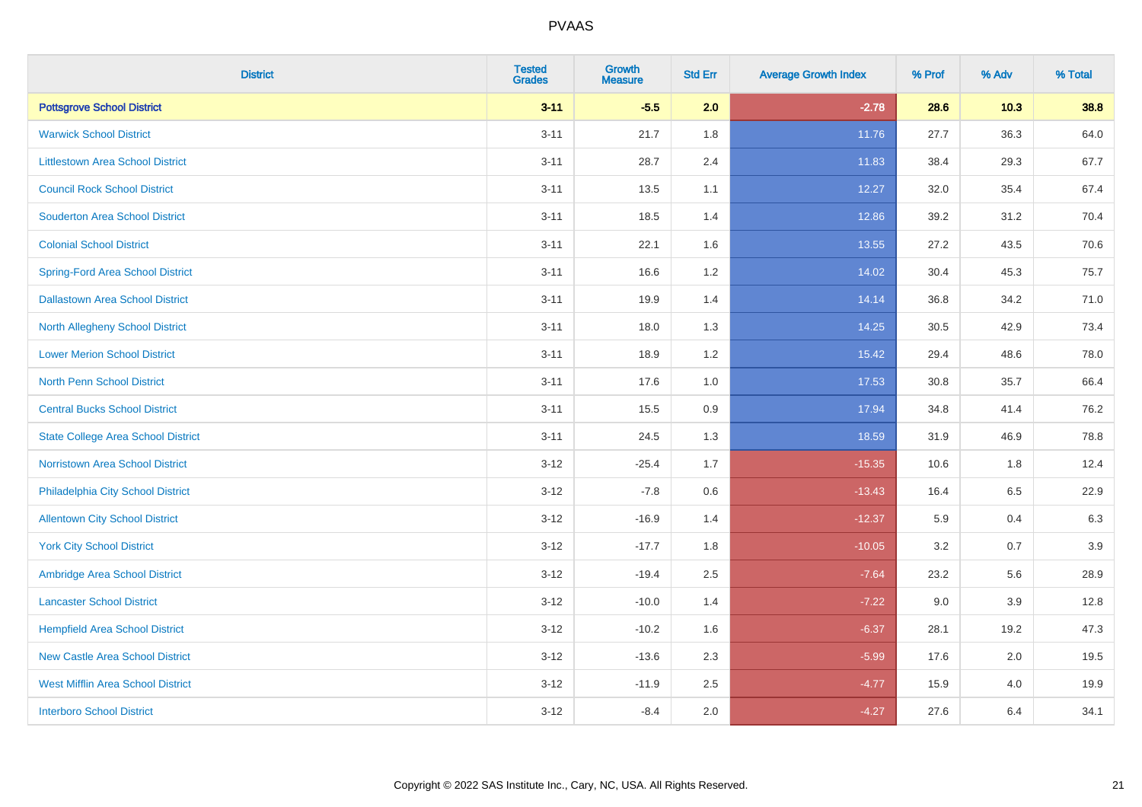| <b>District</b>                           | <b>Tested</b><br><b>Grades</b> | <b>Growth</b><br><b>Measure</b> | <b>Std Err</b> | <b>Average Growth Index</b> | % Prof | % Adv   | % Total |
|-------------------------------------------|--------------------------------|---------------------------------|----------------|-----------------------------|--------|---------|---------|
| <b>Pottsgrove School District</b>         | $3 - 11$                       | $-5.5$                          | 2.0            | $-2.78$                     | 28.6   | $10.3$  | 38.8    |
| <b>Warwick School District</b>            | $3 - 11$                       | 21.7                            | 1.8            | 11.76                       | 27.7   | 36.3    | 64.0    |
| <b>Littlestown Area School District</b>   | $3 - 11$                       | 28.7                            | 2.4            | 11.83                       | 38.4   | 29.3    | 67.7    |
| <b>Council Rock School District</b>       | $3 - 11$                       | 13.5                            | 1.1            | 12.27                       | 32.0   | 35.4    | 67.4    |
| <b>Souderton Area School District</b>     | $3 - 11$                       | 18.5                            | 1.4            | 12.86                       | 39.2   | 31.2    | 70.4    |
| <b>Colonial School District</b>           | $3 - 11$                       | 22.1                            | 1.6            | 13.55                       | 27.2   | 43.5    | 70.6    |
| <b>Spring-Ford Area School District</b>   | $3 - 11$                       | 16.6                            | 1.2            | 14.02                       | 30.4   | 45.3    | 75.7    |
| <b>Dallastown Area School District</b>    | $3 - 11$                       | 19.9                            | 1.4            | 14.14                       | 36.8   | 34.2    | 71.0    |
| <b>North Allegheny School District</b>    | $3 - 11$                       | 18.0                            | 1.3            | 14.25                       | 30.5   | 42.9    | 73.4    |
| <b>Lower Merion School District</b>       | $3 - 11$                       | 18.9                            | 1.2            | 15.42                       | 29.4   | 48.6    | 78.0    |
| North Penn School District                | $3 - 11$                       | 17.6                            | 1.0            | 17.53                       | 30.8   | 35.7    | 66.4    |
| <b>Central Bucks School District</b>      | $3 - 11$                       | 15.5                            | 0.9            | 17.94                       | 34.8   | 41.4    | 76.2    |
| <b>State College Area School District</b> | $3 - 11$                       | 24.5                            | 1.3            | 18.59                       | 31.9   | 46.9    | 78.8    |
| Norristown Area School District           | $3 - 12$                       | $-25.4$                         | 1.7            | $-15.35$                    | 10.6   | 1.8     | 12.4    |
| Philadelphia City School District         | $3 - 12$                       | $-7.8$                          | 0.6            | $-13.43$                    | 16.4   | 6.5     | 22.9    |
| <b>Allentown City School District</b>     | $3 - 12$                       | $-16.9$                         | 1.4            | $-12.37$                    | 5.9    | 0.4     | 6.3     |
| <b>York City School District</b>          | $3 - 12$                       | $-17.7$                         | 1.8            | $-10.05$                    | 3.2    | 0.7     | 3.9     |
| Ambridge Area School District             | $3 - 12$                       | $-19.4$                         | 2.5            | $-7.64$                     | 23.2   | 5.6     | 28.9    |
| <b>Lancaster School District</b>          | $3 - 12$                       | $-10.0$                         | 1.4            | $-7.22$                     | 9.0    | 3.9     | 12.8    |
| <b>Hempfield Area School District</b>     | $3 - 12$                       | $-10.2$                         | 1.6            | $-6.37$                     | 28.1   | 19.2    | 47.3    |
| <b>New Castle Area School District</b>    | $3 - 12$                       | $-13.6$                         | 2.3            | $-5.99$                     | 17.6   | $2.0\,$ | 19.5    |
| <b>West Mifflin Area School District</b>  | $3 - 12$                       | $-11.9$                         | 2.5            | $-4.77$                     | 15.9   | 4.0     | 19.9    |
| <b>Interboro School District</b>          | $3 - 12$                       | $-8.4$                          | 2.0            | $-4.27$                     | 27.6   | 6.4     | 34.1    |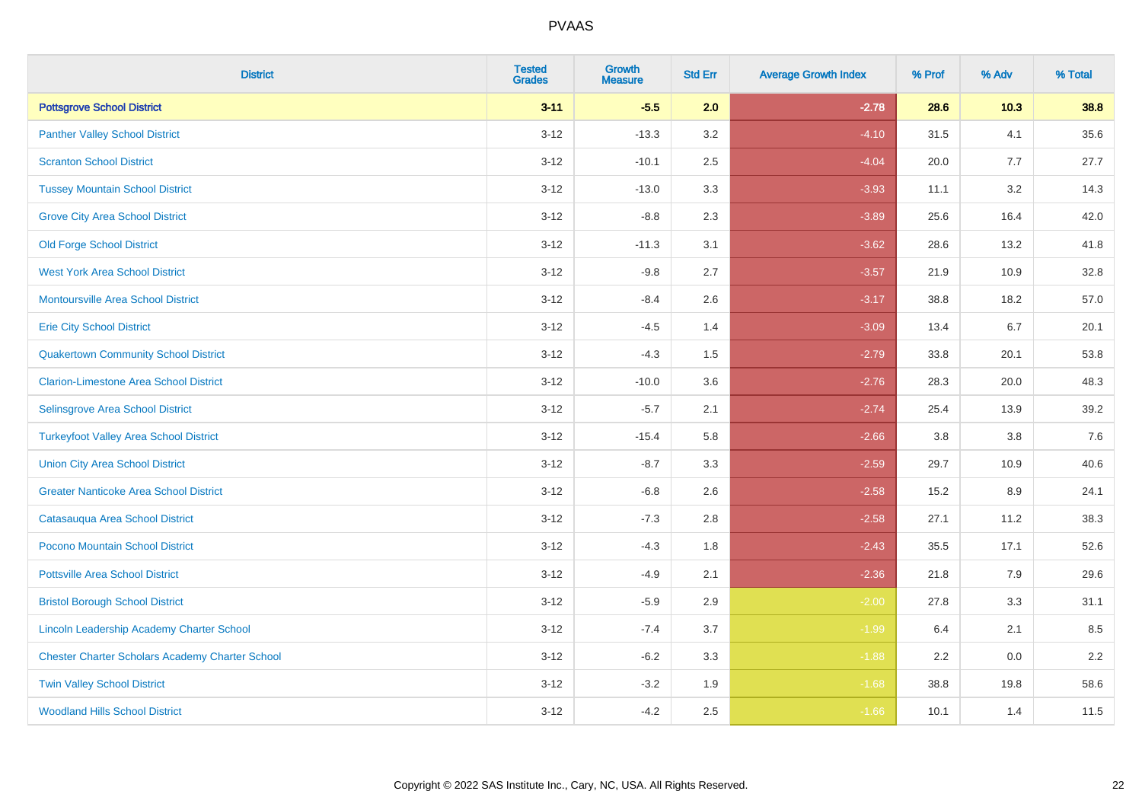| <b>District</b>                                        | <b>Tested</b><br><b>Grades</b> | Growth<br><b>Measure</b> | <b>Std Err</b> | <b>Average Growth Index</b> | % Prof | % Adv  | % Total |
|--------------------------------------------------------|--------------------------------|--------------------------|----------------|-----------------------------|--------|--------|---------|
| <b>Pottsgrove School District</b>                      | $3 - 11$                       | $-5.5$                   | 2.0            | $-2.78$                     | 28.6   | $10.3$ | 38.8    |
| <b>Panther Valley School District</b>                  | $3 - 12$                       | $-13.3$                  | 3.2            | $-4.10$                     | 31.5   | 4.1    | 35.6    |
| <b>Scranton School District</b>                        | $3 - 12$                       | $-10.1$                  | 2.5            | $-4.04$                     | 20.0   | 7.7    | 27.7    |
| <b>Tussey Mountain School District</b>                 | $3 - 12$                       | $-13.0$                  | 3.3            | $-3.93$                     | 11.1   | 3.2    | 14.3    |
| <b>Grove City Area School District</b>                 | $3 - 12$                       | $-8.8$                   | 2.3            | $-3.89$                     | 25.6   | 16.4   | 42.0    |
| <b>Old Forge School District</b>                       | $3 - 12$                       | $-11.3$                  | 3.1            | $-3.62$                     | 28.6   | 13.2   | 41.8    |
| <b>West York Area School District</b>                  | $3 - 12$                       | $-9.8$                   | 2.7            | $-3.57$                     | 21.9   | 10.9   | 32.8    |
| Montoursville Area School District                     | $3 - 12$                       | $-8.4$                   | 2.6            | $-3.17$                     | 38.8   | 18.2   | 57.0    |
| <b>Erie City School District</b>                       | $3 - 12$                       | $-4.5$                   | 1.4            | $-3.09$                     | 13.4   | 6.7    | 20.1    |
| <b>Quakertown Community School District</b>            | $3 - 12$                       | $-4.3$                   | 1.5            | $-2.79$                     | 33.8   | 20.1   | 53.8    |
| <b>Clarion-Limestone Area School District</b>          | $3 - 12$                       | $-10.0$                  | 3.6            | $-2.76$                     | 28.3   | 20.0   | 48.3    |
| Selinsgrove Area School District                       | $3 - 12$                       | $-5.7$                   | 2.1            | $-2.74$                     | 25.4   | 13.9   | 39.2    |
| <b>Turkeyfoot Valley Area School District</b>          | $3 - 12$                       | $-15.4$                  | 5.8            | $-2.66$                     | 3.8    | 3.8    | $7.6$   |
| <b>Union City Area School District</b>                 | $3 - 12$                       | $-8.7$                   | 3.3            | $-2.59$                     | 29.7   | 10.9   | 40.6    |
| <b>Greater Nanticoke Area School District</b>          | $3 - 12$                       | $-6.8$                   | 2.6            | $-2.58$                     | 15.2   | 8.9    | 24.1    |
| Catasauqua Area School District                        | $3 - 12$                       | $-7.3$                   | 2.8            | $-2.58$                     | 27.1   | 11.2   | 38.3    |
| Pocono Mountain School District                        | $3 - 12$                       | $-4.3$                   | 1.8            | $-2.43$                     | 35.5   | 17.1   | 52.6    |
| <b>Pottsville Area School District</b>                 | $3 - 12$                       | $-4.9$                   | 2.1            | $-2.36$                     | 21.8   | 7.9    | 29.6    |
| <b>Bristol Borough School District</b>                 | $3 - 12$                       | $-5.9$                   | 2.9            | $-2.00$                     | 27.8   | 3.3    | 31.1    |
| Lincoln Leadership Academy Charter School              | $3 - 12$                       | $-7.4$                   | 3.7            | $-1.99$                     | 6.4    | 2.1    | 8.5     |
| <b>Chester Charter Scholars Academy Charter School</b> | $3 - 12$                       | $-6.2$                   | 3.3            | $-1.88$                     | 2.2    | 0.0    | 2.2     |
| <b>Twin Valley School District</b>                     | $3 - 12$                       | $-3.2$                   | 1.9            | $-1.68$                     | 38.8   | 19.8   | 58.6    |
| <b>Woodland Hills School District</b>                  | $3 - 12$                       | $-4.2$                   | 2.5            | $-1.66$                     | 10.1   | 1.4    | 11.5    |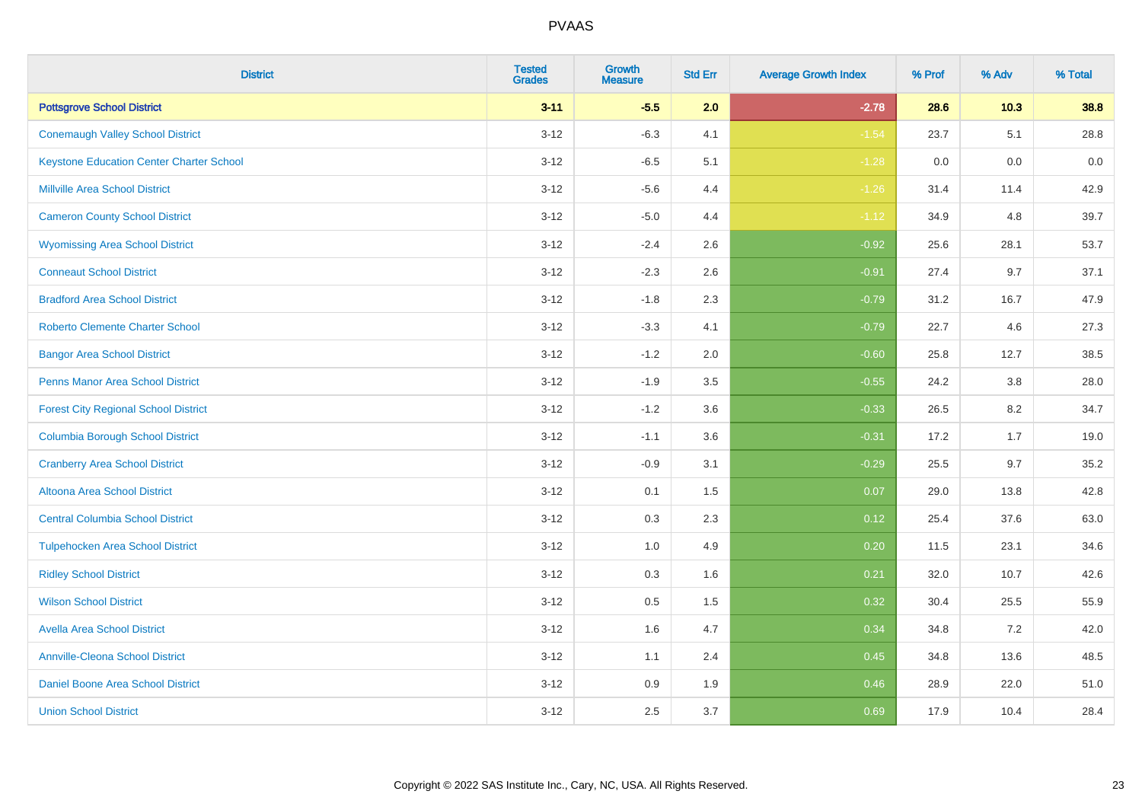| <b>District</b>                                 | <b>Tested</b><br><b>Grades</b> | <b>Growth</b><br><b>Measure</b> | <b>Std Err</b> | <b>Average Growth Index</b> | % Prof | % Adv | % Total |
|-------------------------------------------------|--------------------------------|---------------------------------|----------------|-----------------------------|--------|-------|---------|
| <b>Pottsgrove School District</b>               | $3 - 11$                       | $-5.5$                          | 2.0            | $-2.78$                     | 28.6   | 10.3  | 38.8    |
| <b>Conemaugh Valley School District</b>         | $3 - 12$                       | $-6.3$                          | 4.1            | $-1.54$                     | 23.7   | 5.1   | 28.8    |
| <b>Keystone Education Center Charter School</b> | $3 - 12$                       | $-6.5$                          | 5.1            | $-1.28$                     | 0.0    | 0.0   | 0.0     |
| <b>Millville Area School District</b>           | $3 - 12$                       | $-5.6$                          | 4.4            | $-1.26$                     | 31.4   | 11.4  | 42.9    |
| <b>Cameron County School District</b>           | $3-12$                         | $-5.0$                          | 4.4            | $-1.12$                     | 34.9   | 4.8   | 39.7    |
| <b>Wyomissing Area School District</b>          | $3 - 12$                       | $-2.4$                          | 2.6            | $-0.92$                     | 25.6   | 28.1  | 53.7    |
| <b>Conneaut School District</b>                 | $3 - 12$                       | $-2.3$                          | 2.6            | $-0.91$                     | 27.4   | 9.7   | 37.1    |
| <b>Bradford Area School District</b>            | $3 - 12$                       | $-1.8$                          | 2.3            | $-0.79$                     | 31.2   | 16.7  | 47.9    |
| <b>Roberto Clemente Charter School</b>          | $3 - 12$                       | $-3.3$                          | 4.1            | $-0.79$                     | 22.7   | 4.6   | 27.3    |
| <b>Bangor Area School District</b>              | $3 - 12$                       | $-1.2$                          | 2.0            | $-0.60$                     | 25.8   | 12.7  | 38.5    |
| <b>Penns Manor Area School District</b>         | $3 - 12$                       | $-1.9$                          | 3.5            | $-0.55$                     | 24.2   | 3.8   | 28.0    |
| <b>Forest City Regional School District</b>     | $3 - 12$                       | $-1.2$                          | 3.6            | $-0.33$                     | 26.5   | 8.2   | 34.7    |
| <b>Columbia Borough School District</b>         | $3 - 12$                       | $-1.1$                          | 3.6            | $-0.31$                     | 17.2   | 1.7   | 19.0    |
| <b>Cranberry Area School District</b>           | $3 - 12$                       | $-0.9$                          | 3.1            | $-0.29$                     | 25.5   | 9.7   | 35.2    |
| Altoona Area School District                    | $3 - 12$                       | 0.1                             | 1.5            | 0.07                        | 29.0   | 13.8  | 42.8    |
| <b>Central Columbia School District</b>         | $3 - 12$                       | 0.3                             | 2.3            | 0.12                        | 25.4   | 37.6  | 63.0    |
| <b>Tulpehocken Area School District</b>         | $3 - 12$                       | 1.0                             | 4.9            | 0.20                        | 11.5   | 23.1  | 34.6    |
| <b>Ridley School District</b>                   | $3 - 12$                       | 0.3                             | 1.6            | 0.21                        | 32.0   | 10.7  | 42.6    |
| <b>Wilson School District</b>                   | $3 - 12$                       | $0.5\,$                         | 1.5            | 0.32                        | 30.4   | 25.5  | 55.9    |
| <b>Avella Area School District</b>              | $3-12$                         | 1.6                             | 4.7            | 0.34                        | 34.8   | 7.2   | 42.0    |
| <b>Annville-Cleona School District</b>          | $3 - 12$                       | 1.1                             | 2.4            | 0.45                        | 34.8   | 13.6  | 48.5    |
| Daniel Boone Area School District               | $3 - 12$                       | $0.9\,$                         | 1.9            | 0.46                        | 28.9   | 22.0  | 51.0    |
| <b>Union School District</b>                    | $3-12$                         | 2.5                             | 3.7            | 0.69                        | 17.9   | 10.4  | 28.4    |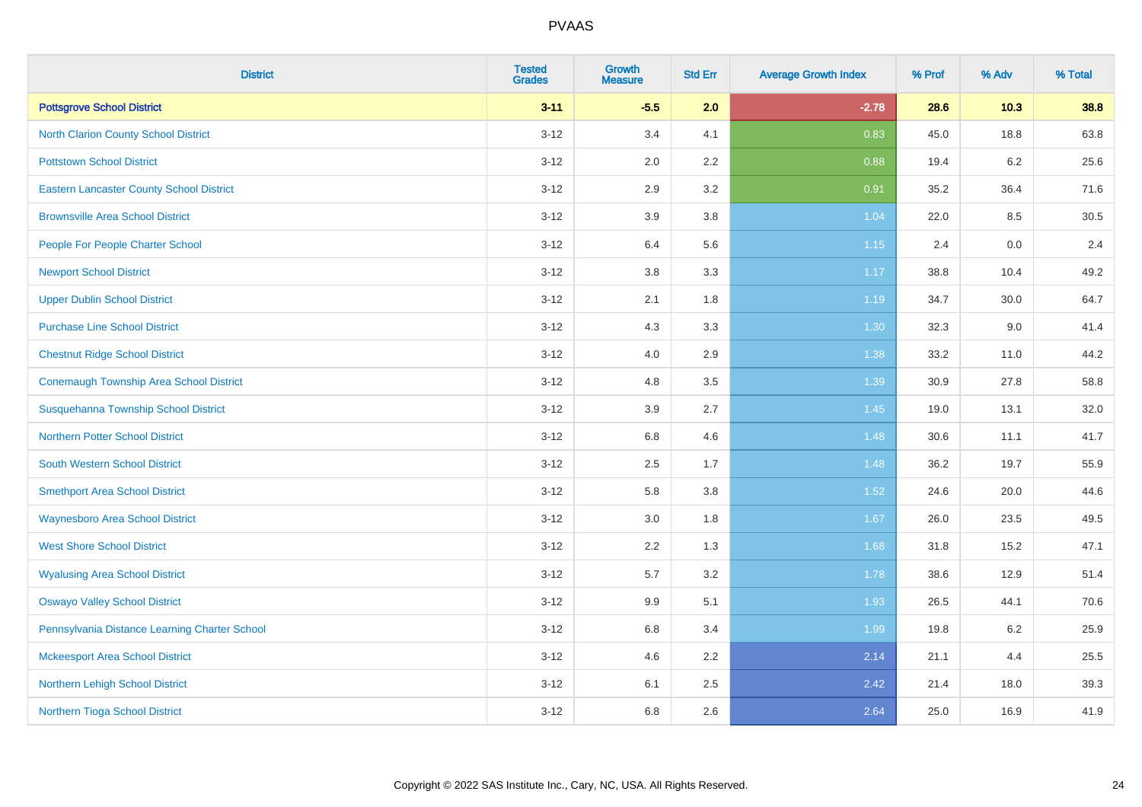| <b>District</b>                                 | <b>Tested</b><br><b>Grades</b> | <b>Growth</b><br><b>Measure</b> | <b>Std Err</b> | <b>Average Growth Index</b> | % Prof | % Adv | % Total |
|-------------------------------------------------|--------------------------------|---------------------------------|----------------|-----------------------------|--------|-------|---------|
| <b>Pottsgrove School District</b>               | $3 - 11$                       | $-5.5$                          | 2.0            | $-2.78$                     | 28.6   | 10.3  | 38.8    |
| <b>North Clarion County School District</b>     | $3 - 12$                       | 3.4                             | 4.1            | 0.83                        | 45.0   | 18.8  | 63.8    |
| <b>Pottstown School District</b>                | $3 - 12$                       | 2.0                             | 2.2            | 0.88                        | 19.4   | 6.2   | 25.6    |
| <b>Eastern Lancaster County School District</b> | $3 - 12$                       | 2.9                             | 3.2            | 0.91                        | 35.2   | 36.4  | 71.6    |
| <b>Brownsville Area School District</b>         | $3 - 12$                       | 3.9                             | 3.8            | 1.04                        | 22.0   | 8.5   | 30.5    |
| People For People Charter School                | $3 - 12$                       | 6.4                             | 5.6            | $1.15$                      | 2.4    | 0.0   | 2.4     |
| <b>Newport School District</b>                  | $3 - 12$                       | 3.8                             | 3.3            | 1.17                        | 38.8   | 10.4  | 49.2    |
| <b>Upper Dublin School District</b>             | $3 - 12$                       | 2.1                             | 1.8            | 1.19                        | 34.7   | 30.0  | 64.7    |
| <b>Purchase Line School District</b>            | $3 - 12$                       | 4.3                             | 3.3            | 1.30                        | 32.3   | 9.0   | 41.4    |
| <b>Chestnut Ridge School District</b>           | $3 - 12$                       | 4.0                             | 2.9            | 1.38                        | 33.2   | 11.0  | 44.2    |
| Conemaugh Township Area School District         | $3 - 12$                       | 4.8                             | 3.5            | 1.39                        | 30.9   | 27.8  | 58.8    |
| Susquehanna Township School District            | $3 - 12$                       | 3.9                             | 2.7            | 1.45                        | 19.0   | 13.1  | 32.0    |
| Northern Potter School District                 | $3 - 12$                       | $6.8\,$                         | 4.6            | 1.48                        | 30.6   | 11.1  | 41.7    |
| <b>South Western School District</b>            | $3 - 12$                       | 2.5                             | 1.7            | 1.48                        | 36.2   | 19.7  | 55.9    |
| <b>Smethport Area School District</b>           | $3 - 12$                       | 5.8                             | 3.8            | 1.52                        | 24.6   | 20.0  | 44.6    |
| <b>Waynesboro Area School District</b>          | $3 - 12$                       | 3.0                             | 1.8            | 1.67                        | 26.0   | 23.5  | 49.5    |
| <b>West Shore School District</b>               | $3 - 12$                       | $2.2\,$                         | 1.3            | 1.68                        | 31.8   | 15.2  | 47.1    |
| <b>Wyalusing Area School District</b>           | $3 - 12$                       | 5.7                             | 3.2            | 1.78                        | 38.6   | 12.9  | 51.4    |
| <b>Oswayo Valley School District</b>            | $3 - 12$                       | 9.9                             | 5.1            | 1.93                        | 26.5   | 44.1  | 70.6    |
| Pennsylvania Distance Learning Charter School   | $3 - 12$                       | 6.8                             | 3.4            | 1.99                        | 19.8   | 6.2   | 25.9    |
| <b>Mckeesport Area School District</b>          | $3 - 12$                       | 4.6                             | 2.2            | 2.14                        | 21.1   | 4.4   | 25.5    |
| Northern Lehigh School District                 | $3 - 12$                       | 6.1                             | 2.5            | 2.42                        | 21.4   | 18.0  | 39.3    |
| Northern Tioga School District                  | $3 - 12$                       | 6.8                             | 2.6            | 2.64                        | 25.0   | 16.9  | 41.9    |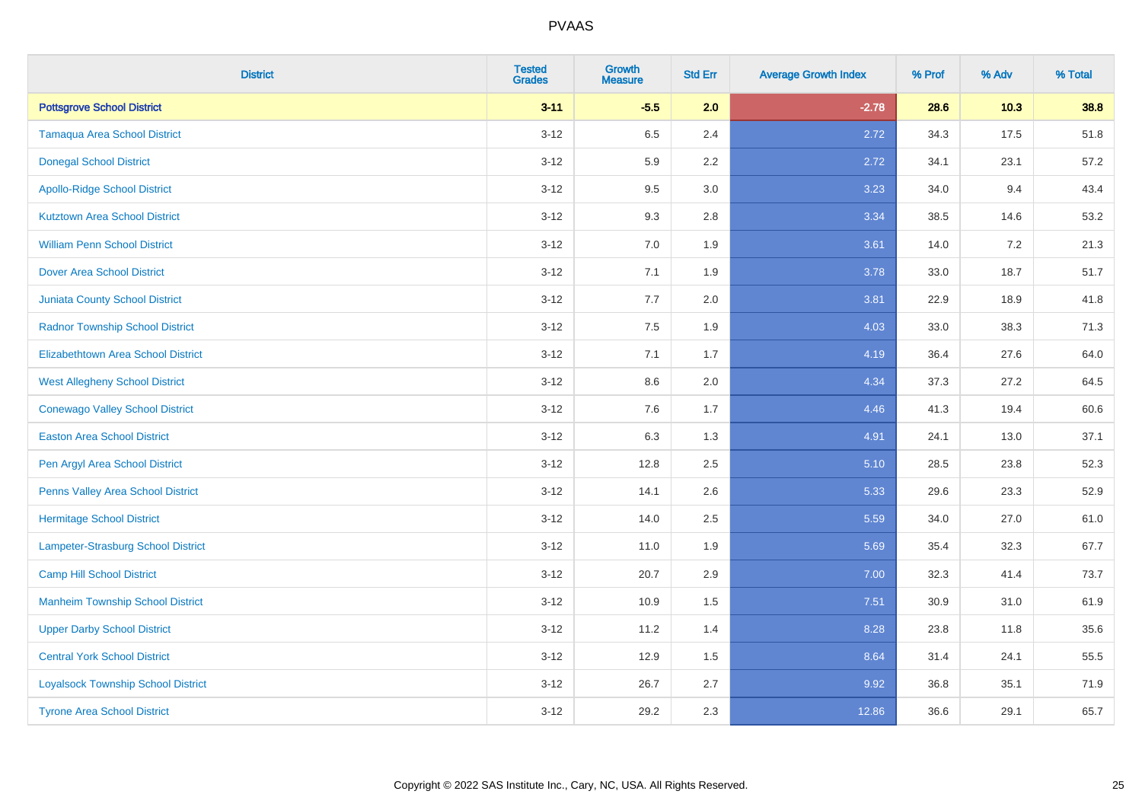| <b>District</b>                           | <b>Tested</b><br><b>Grades</b> | <b>Growth</b><br><b>Measure</b> | <b>Std Err</b> | <b>Average Growth Index</b> | % Prof | % Adv | % Total |
|-------------------------------------------|--------------------------------|---------------------------------|----------------|-----------------------------|--------|-------|---------|
| <b>Pottsgrove School District</b>         | $3 - 11$                       | $-5.5$                          | 2.0            | $-2.78$                     | 28.6   | 10.3  | 38.8    |
| <b>Tamaqua Area School District</b>       | $3 - 12$                       | 6.5                             | 2.4            | 2.72                        | 34.3   | 17.5  | 51.8    |
| <b>Donegal School District</b>            | $3 - 12$                       | 5.9                             | 2.2            | 2.72                        | 34.1   | 23.1  | 57.2    |
| <b>Apollo-Ridge School District</b>       | $3 - 12$                       | 9.5                             | 3.0            | 3.23                        | 34.0   | 9.4   | 43.4    |
| <b>Kutztown Area School District</b>      | $3 - 12$                       | 9.3                             | 2.8            | 3.34                        | 38.5   | 14.6  | 53.2    |
| <b>William Penn School District</b>       | $3 - 12$                       | 7.0                             | 1.9            | 3.61                        | 14.0   | 7.2   | 21.3    |
| <b>Dover Area School District</b>         | $3 - 12$                       | 7.1                             | 1.9            | 3.78                        | 33.0   | 18.7  | 51.7    |
| <b>Juniata County School District</b>     | $3 - 12$                       | 7.7                             | 2.0            | 3.81                        | 22.9   | 18.9  | 41.8    |
| <b>Radnor Township School District</b>    | $3 - 12$                       | 7.5                             | 1.9            | 4.03                        | 33.0   | 38.3  | 71.3    |
| <b>Elizabethtown Area School District</b> | $3 - 12$                       | 7.1                             | 1.7            | 4.19                        | 36.4   | 27.6  | 64.0    |
| <b>West Allegheny School District</b>     | $3 - 12$                       | 8.6                             | 2.0            | 4.34                        | 37.3   | 27.2  | 64.5    |
| <b>Conewago Valley School District</b>    | $3 - 12$                       | 7.6                             | 1.7            | 4.46                        | 41.3   | 19.4  | 60.6    |
| <b>Easton Area School District</b>        | $3 - 12$                       | 6.3                             | 1.3            | 4.91                        | 24.1   | 13.0  | 37.1    |
| Pen Argyl Area School District            | $3 - 12$                       | 12.8                            | 2.5            | 5.10                        | 28.5   | 23.8  | 52.3    |
| Penns Valley Area School District         | $3 - 12$                       | 14.1                            | 2.6            | 5.33                        | 29.6   | 23.3  | 52.9    |
| <b>Hermitage School District</b>          | $3 - 12$                       | 14.0                            | 2.5            | 5.59                        | 34.0   | 27.0  | 61.0    |
| Lampeter-Strasburg School District        | $3 - 12$                       | 11.0                            | 1.9            | 5.69                        | 35.4   | 32.3  | 67.7    |
| <b>Camp Hill School District</b>          | $3 - 12$                       | 20.7                            | 2.9            | 7.00                        | 32.3   | 41.4  | 73.7    |
| <b>Manheim Township School District</b>   | $3 - 12$                       | 10.9                            | 1.5            | 7.51                        | 30.9   | 31.0  | 61.9    |
| <b>Upper Darby School District</b>        | $3 - 12$                       | 11.2                            | 1.4            | 8.28                        | 23.8   | 11.8  | 35.6    |
| <b>Central York School District</b>       | $3 - 12$                       | 12.9                            | 1.5            | 8.64                        | 31.4   | 24.1  | 55.5    |
| <b>Loyalsock Township School District</b> | $3 - 12$                       | 26.7                            | 2.7            | 9.92                        | 36.8   | 35.1  | 71.9    |
| <b>Tyrone Area School District</b>        | $3 - 12$                       | 29.2                            | 2.3            | 12.86                       | 36.6   | 29.1  | 65.7    |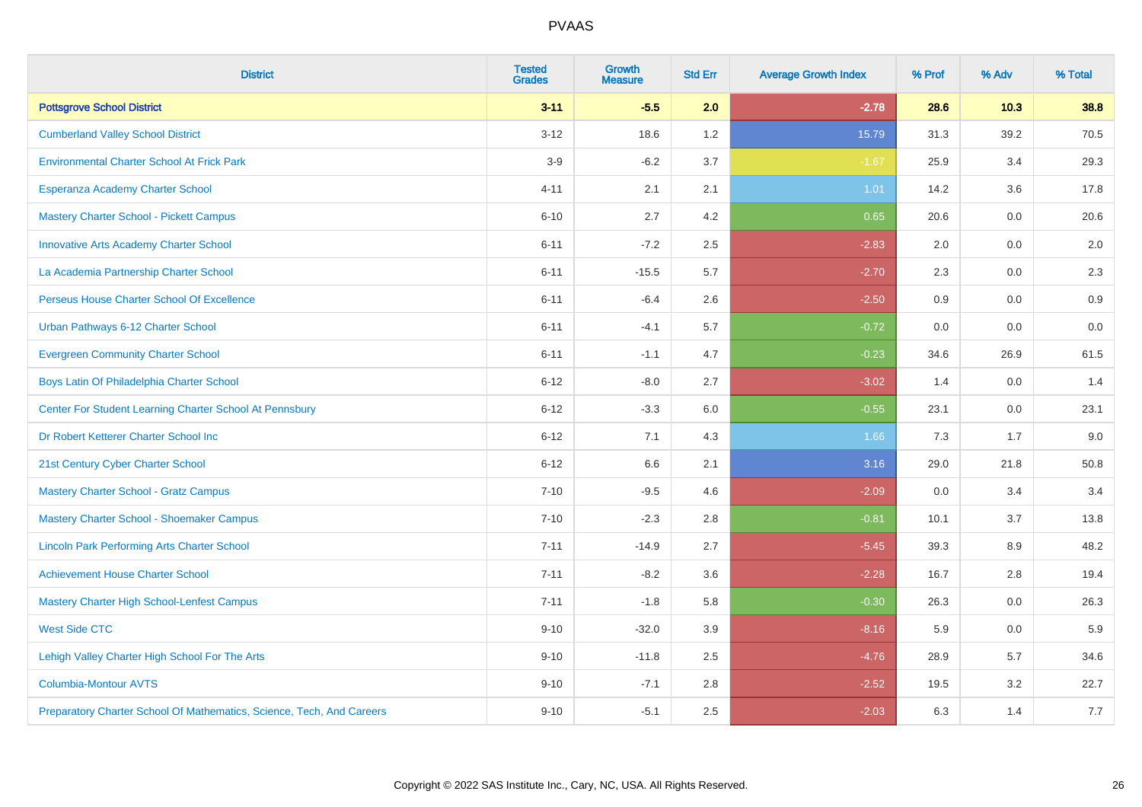| <b>District</b>                                                       | <b>Tested</b><br><b>Grades</b> | <b>Growth</b><br><b>Measure</b> | <b>Std Err</b> | <b>Average Growth Index</b> | % Prof | % Adv | % Total |
|-----------------------------------------------------------------------|--------------------------------|---------------------------------|----------------|-----------------------------|--------|-------|---------|
| <b>Pottsgrove School District</b>                                     | $3 - 11$                       | $-5.5$                          | 2.0            | $-2.78$                     | 28.6   | 10.3  | 38.8    |
| <b>Cumberland Valley School District</b>                              | $3 - 12$                       | 18.6                            | 1.2            | 15.79                       | 31.3   | 39.2  | 70.5    |
| <b>Environmental Charter School At Frick Park</b>                     | $3-9$                          | $-6.2$                          | 3.7            | $-1.67$                     | 25.9   | 3.4   | 29.3    |
| Esperanza Academy Charter School                                      | $4 - 11$                       | 2.1                             | 2.1            | 1.01                        | 14.2   | 3.6   | 17.8    |
| <b>Mastery Charter School - Pickett Campus</b>                        | $6 - 10$                       | 2.7                             | 4.2            | 0.65                        | 20.6   | 0.0   | 20.6    |
| <b>Innovative Arts Academy Charter School</b>                         | $6 - 11$                       | $-7.2$                          | 2.5            | $-2.83$                     | 2.0    | 0.0   | 2.0     |
| La Academia Partnership Charter School                                | $6 - 11$                       | $-15.5$                         | 5.7            | $-2.70$                     | 2.3    | 0.0   | $2.3\,$ |
| Perseus House Charter School Of Excellence                            | $6 - 11$                       | $-6.4$                          | 2.6            | $-2.50$                     | 0.9    | 0.0   | 0.9     |
| Urban Pathways 6-12 Charter School                                    | $6 - 11$                       | $-4.1$                          | 5.7            | $-0.72$                     | 0.0    | 0.0   | 0.0     |
| <b>Evergreen Community Charter School</b>                             | $6 - 11$                       | $-1.1$                          | 4.7            | $-0.23$                     | 34.6   | 26.9  | 61.5    |
| Boys Latin Of Philadelphia Charter School                             | $6 - 12$                       | $-8.0$                          | 2.7            | $-3.02$                     | 1.4    | 0.0   | 1.4     |
| Center For Student Learning Charter School At Pennsbury               | $6 - 12$                       | $-3.3$                          | 6.0            | $-0.55$                     | 23.1   | 0.0   | 23.1    |
| Dr Robert Ketterer Charter School Inc                                 | $6 - 12$                       | 7.1                             | 4.3            | 1.66                        | 7.3    | 1.7   | 9.0     |
| 21st Century Cyber Charter School                                     | $6 - 12$                       | 6.6                             | 2.1            | 3.16                        | 29.0   | 21.8  | 50.8    |
| <b>Mastery Charter School - Gratz Campus</b>                          | $7 - 10$                       | $-9.5$                          | 4.6            | $-2.09$                     | 0.0    | 3.4   | 3.4     |
| Mastery Charter School - Shoemaker Campus                             | $7 - 10$                       | $-2.3$                          | 2.8            | $-0.81$                     | 10.1   | 3.7   | 13.8    |
| <b>Lincoln Park Performing Arts Charter School</b>                    | $7 - 11$                       | $-14.9$                         | 2.7            | $-5.45$                     | 39.3   | 8.9   | 48.2    |
| <b>Achievement House Charter School</b>                               | $7 - 11$                       | $-8.2$                          | 3.6            | $-2.28$                     | 16.7   | 2.8   | 19.4    |
| <b>Mastery Charter High School-Lenfest Campus</b>                     | $7 - 11$                       | $-1.8$                          | 5.8            | $-0.30$                     | 26.3   | 0.0   | 26.3    |
| <b>West Side CTC</b>                                                  | $9 - 10$                       | $-32.0$                         | 3.9            | $-8.16$                     | 5.9    | 0.0   | 5.9     |
| Lehigh Valley Charter High School For The Arts                        | $9 - 10$                       | $-11.8$                         | 2.5            | $-4.76$                     | 28.9   | 5.7   | 34.6    |
| <b>Columbia-Montour AVTS</b>                                          | $9 - 10$                       | $-7.1$                          | 2.8            | $-2.52$                     | 19.5   | 3.2   | 22.7    |
| Preparatory Charter School Of Mathematics, Science, Tech, And Careers | $9 - 10$                       | $-5.1$                          | 2.5            | $-2.03$                     | 6.3    | 1.4   | 7.7     |